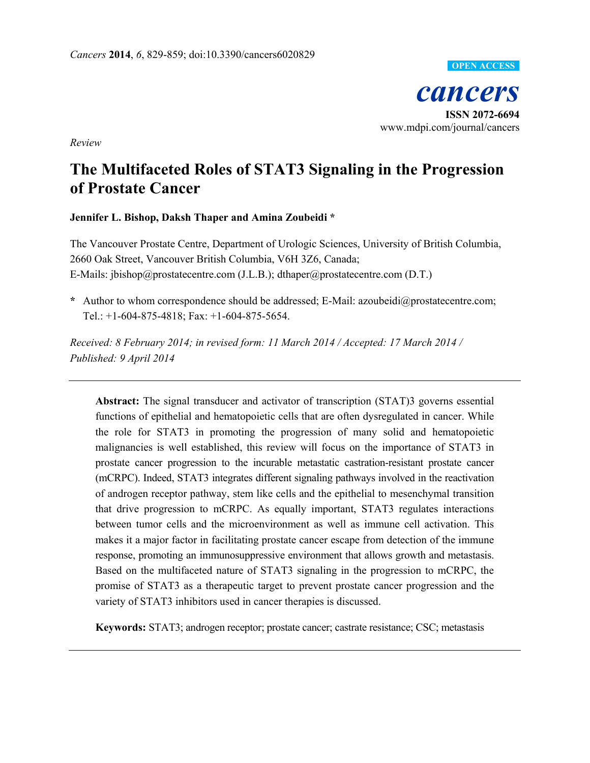

*Review*

# **The Multifaceted Roles of STAT3 Signaling in the Progression of Prostate Cancer**

# **Jennifer L. Bishop, Daksh Thaper and Amina Zoubeidi \***

The Vancouver Prostate Centre, Department of Urologic Sciences, University of British Columbia, 2660 Oak Street, Vancouver British Columbia, V6H 3Z6, Canada; E-Mails: jbishop@prostatecentre.com (J.L.B.); dthaper@prostatecentre.com (D.T.)

**\*** Author to whom correspondence should be addressed; E-Mail: azoubeidi@prostatecentre.com; Tel.: +1-604-875-4818; Fax: +1-604-875-5654.

*Received: 8 February 2014; in revised form: 11 March 2014 / Accepted: 17 March 2014 / Published: 9 April 2014* 

**Abstract:** The signal transducer and activator of transcription (STAT)3 governs essential functions of epithelial and hematopoietic cells that are often dysregulated in cancer. While the role for STAT3 in promoting the progression of many solid and hematopoietic malignancies is well established, this review will focus on the importance of STAT3 in prostate cancer progression to the incurable metastatic castration-resistant prostate cancer (mCRPC). Indeed, STAT3 integrates different signaling pathways involved in the reactivation of androgen receptor pathway, stem like cells and the epithelial to mesenchymal transition that drive progression to mCRPC. As equally important, STAT3 regulates interactions between tumor cells and the microenvironment as well as immune cell activation. This makes it a major factor in facilitating prostate cancer escape from detection of the immune response, promoting an immunosuppressive environment that allows growth and metastasis. Based on the multifaceted nature of STAT3 signaling in the progression to mCRPC, the promise of STAT3 as a therapeutic target to prevent prostate cancer progression and the variety of STAT3 inhibitors used in cancer therapies is discussed.

**Keywords:** STAT3; androgen receptor; prostate cancer; castrate resistance; CSC; metastasis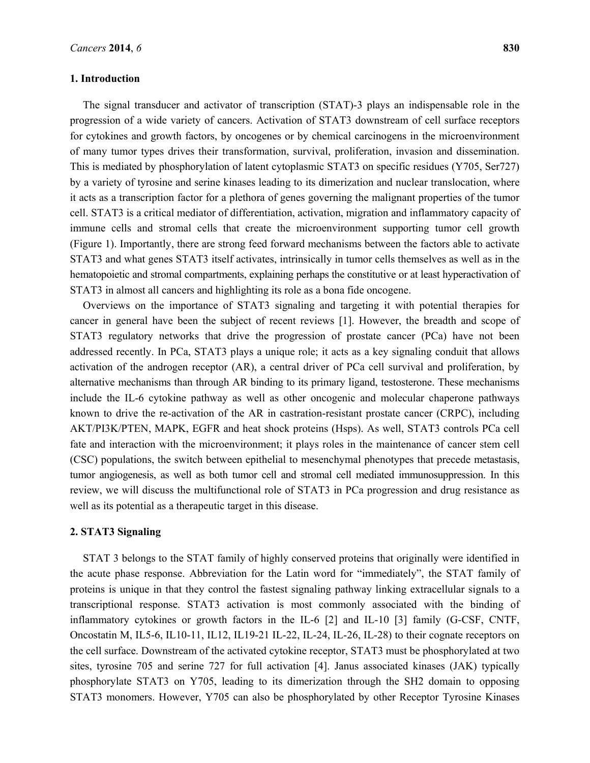#### **1. Introduction**

The signal transducer and activator of transcription (STAT)-3 plays an indispensable role in the progression of a wide variety of cancers. Activation of STAT3 downstream of cell surface receptors for cytokines and growth factors, by oncogenes or by chemical carcinogens in the microenvironment of many tumor types drives their transformation, survival, proliferation, invasion and dissemination. This is mediated by phosphorylation of latent cytoplasmic STAT3 on specific residues (Y705, Ser727) by a variety of tyrosine and serine kinases leading to its dimerization and nuclear translocation, where it acts as a transcription factor for a plethora of genes governing the malignant properties of the tumor cell. STAT3 is a critical mediator of differentiation, activation, migration and inflammatory capacity of immune cells and stromal cells that create the microenvironment supporting tumor cell growth (Figure 1). Importantly, there are strong feed forward mechanisms between the factors able to activate STAT3 and what genes STAT3 itself activates, intrinsically in tumor cells themselves as well as in the hematopoietic and stromal compartments, explaining perhaps the constitutive or at least hyperactivation of STAT3 in almost all cancers and highlighting its role as a bona fide oncogene.

Overviews on the importance of STAT3 signaling and targeting it with potential therapies for cancer in general have been the subject of recent reviews [1]. However, the breadth and scope of STAT3 regulatory networks that drive the progression of prostate cancer (PCa) have not been addressed recently. In PCa, STAT3 plays a unique role; it acts as a key signaling conduit that allows activation of the androgen receptor (AR), a central driver of PCa cell survival and proliferation, by alternative mechanisms than through AR binding to its primary ligand, testosterone. These mechanisms include the IL-6 cytokine pathway as well as other oncogenic and molecular chaperone pathways known to drive the re-activation of the AR in castration-resistant prostate cancer (CRPC), including AKT/PI3K/PTEN, MAPK, EGFR and heat shock proteins (Hsps). As well, STAT3 controls PCa cell fate and interaction with the microenvironment; it plays roles in the maintenance of cancer stem cell (CSC) populations, the switch between epithelial to mesenchymal phenotypes that precede metastasis, tumor angiogenesis, as well as both tumor cell and stromal cell mediated immunosuppression. In this review, we will discuss the multifunctional role of STAT3 in PCa progression and drug resistance as well as its potential as a therapeutic target in this disease.

## **2. STAT3 Signaling**

STAT 3 belongs to the STAT family of highly conserved proteins that originally were identified in the acute phase response. Abbreviation for the Latin word for "immediately", the STAT family of proteins is unique in that they control the fastest signaling pathway linking extracellular signals to a transcriptional response. STAT3 activation is most commonly associated with the binding of inflammatory cytokines or growth factors in the IL-6 [2] and IL-10 [3] family (G-CSF, CNTF, Oncostatin M, IL5-6, IL10-11, IL12, IL19-21 IL-22, IL-24, IL-26, IL-28) to their cognate receptors on the cell surface. Downstream of the activated cytokine receptor, STAT3 must be phosphorylated at two sites, tyrosine 705 and serine 727 for full activation [4]. Janus associated kinases (JAK) typically phosphorylate STAT3 on Y705, leading to its dimerization through the SH2 domain to opposing STAT3 monomers. However, Y705 can also be phosphorylated by other Receptor Tyrosine Kinases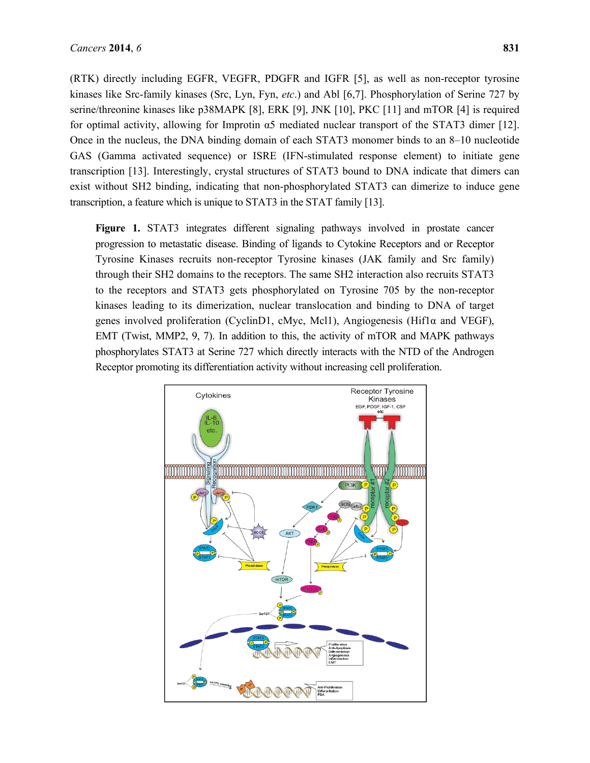(RTK) directly including EGFR, VEGFR, PDGFR and IGFR [5], as well as non-receptor tyrosine kinases like Src-family kinases (Src, Lyn, Fyn, *etc*.) and Abl [6,7]. Phosphorylation of Serine 727 by serine/threonine kinases like p38MAPK [8], ERK [9], JNK [10], PKC [11] and mTOR [4] is required for optimal activity, allowing for Improtin α5 mediated nuclear transport of the STAT3 dimer [12]. Once in the nucleus, the DNA binding domain of each STAT3 monomer binds to an 8–10 nucleotide GAS (Gamma activated sequence) or ISRE (IFN-stimulated response element) to initiate gene transcription [13]. Interestingly, crystal structures of STAT3 bound to DNA indicate that dimers can exist without SH2 binding, indicating that non-phosphorylated STAT3 can dimerize to induce gene transcription, a feature which is unique to STAT3 in the STAT family [13].

**Figure 1.** STAT3 integrates different signaling pathways involved in prostate cancer progression to metastatic disease. Binding of ligands to Cytokine Receptors and or Receptor Tyrosine Kinases recruits non-receptor Tyrosine kinases (JAK family and Src family) through their SH2 domains to the receptors. The same SH2 interaction also recruits STAT3 to the receptors and STAT3 gets phosphorylated on Tyrosine 705 by the non-receptor kinases leading to its dimerization, nuclear translocation and binding to DNA of target genes involved proliferation (CyclinD1, cMyc, Mcl1), Angiogenesis (Hif1α and VEGF), EMT (Twist, MMP2, 9, 7). In addition to this, the activity of mTOR and MAPK pathways phosphorylates STAT3 at Serine 727 which directly interacts with the NTD of the Androgen Receptor promoting its differentiation activity without increasing cell proliferation.

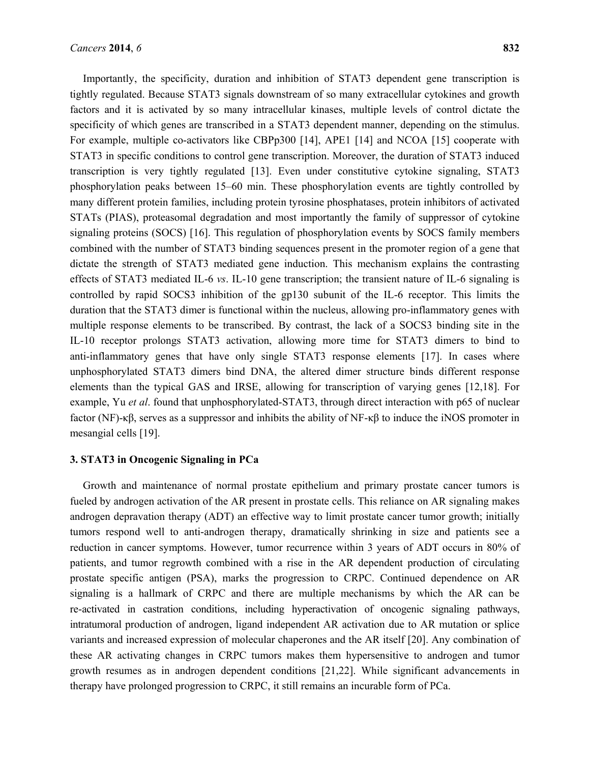Importantly, the specificity, duration and inhibition of STAT3 dependent gene transcription is tightly regulated. Because STAT3 signals downstream of so many extracellular cytokines and growth factors and it is activated by so many intracellular kinases, multiple levels of control dictate the specificity of which genes are transcribed in a STAT3 dependent manner, depending on the stimulus. For example, multiple co-activators like CBPp300 [14], APE1 [14] and NCOA [15] cooperate with STAT3 in specific conditions to control gene transcription. Moreover, the duration of STAT3 induced transcription is very tightly regulated [13]. Even under constitutive cytokine signaling, STAT3 phosphorylation peaks between 15–60 min. These phosphorylation events are tightly controlled by many different protein families, including protein tyrosine phosphatases, protein inhibitors of activated STATs (PIAS), proteasomal degradation and most importantly the family of suppressor of cytokine signaling proteins (SOCS) [16]. This regulation of phosphorylation events by SOCS family members combined with the number of STAT3 binding sequences present in the promoter region of a gene that dictate the strength of STAT3 mediated gene induction. This mechanism explains the contrasting effects of STAT3 mediated IL-6 *vs*. IL-10 gene transcription; the transient nature of IL-6 signaling is controlled by rapid SOCS3 inhibition of the gp130 subunit of the IL-6 receptor. This limits the duration that the STAT3 dimer is functional within the nucleus, allowing pro-inflammatory genes with multiple response elements to be transcribed. By contrast, the lack of a SOCS3 binding site in the IL-10 receptor prolongs STAT3 activation, allowing more time for STAT3 dimers to bind to anti-inflammatory genes that have only single STAT3 response elements [17]. In cases where unphosphorylated STAT3 dimers bind DNA, the altered dimer structure binds different response elements than the typical GAS and IRSE, allowing for transcription of varying genes [12,18]. For example, Yu *et al*. found that unphosphorylated-STAT3, through direct interaction with p65 of nuclear factor (NF)-κβ, serves as a suppressor and inhibits the ability of NF-κβ to induce the iNOS promoter in mesangial cells [19].

## **3. STAT3 in Oncogenic Signaling in PCa**

Growth and maintenance of normal prostate epithelium and primary prostate cancer tumors is fueled by androgen activation of the AR present in prostate cells. This reliance on AR signaling makes androgen depravation therapy (ADT) an effective way to limit prostate cancer tumor growth; initially tumors respond well to anti-androgen therapy, dramatically shrinking in size and patients see a reduction in cancer symptoms. However, tumor recurrence within 3 years of ADT occurs in 80% of patients, and tumor regrowth combined with a rise in the AR dependent production of circulating prostate specific antigen (PSA), marks the progression to CRPC. Continued dependence on AR signaling is a hallmark of CRPC and there are multiple mechanisms by which the AR can be re-activated in castration conditions, including hyperactivation of oncogenic signaling pathways, intratumoral production of androgen, ligand independent AR activation due to AR mutation or splice variants and increased expression of molecular chaperones and the AR itself [20]. Any combination of these AR activating changes in CRPC tumors makes them hypersensitive to androgen and tumor growth resumes as in androgen dependent conditions [21,22]. While significant advancements in therapy have prolonged progression to CRPC, it still remains an incurable form of PCa.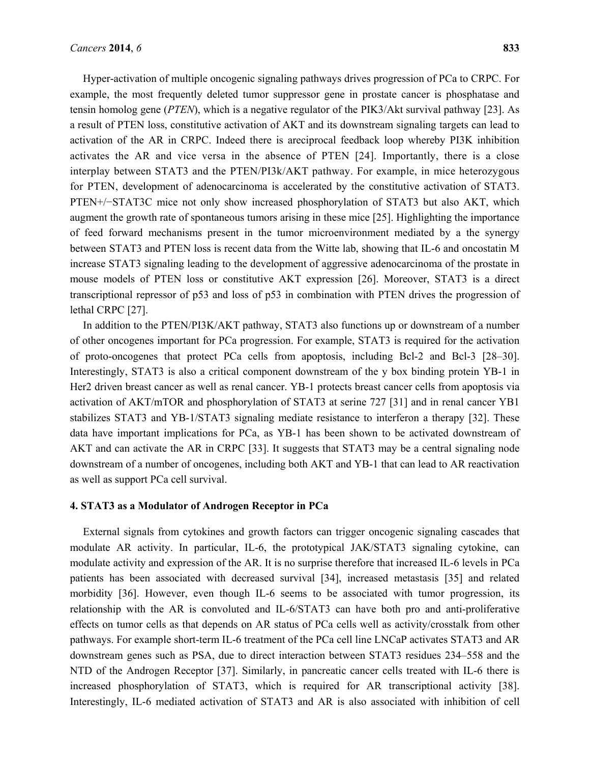Hyper-activation of multiple oncogenic signaling pathways drives progression of PCa to CRPC. For example, the most frequently deleted tumor suppressor gene in prostate cancer is phosphatase and tensin homolog gene (*PTEN*), which is a negative regulator of the PIK3/Akt survival pathway [23]. As a result of PTEN loss, constitutive activation of AKT and its downstream signaling targets can lead to activation of the AR in CRPC. Indeed there is areciprocal feedback loop whereby PI3K inhibition activates the AR and vice versa in the absence of PTEN [24]. Importantly, there is a close interplay between STAT3 and the PTEN/PI3k/AKT pathway. For example, in mice heterozygous for PTEN, development of adenocarcinoma is accelerated by the constitutive activation of STAT3. PTEN+/−STAT3C mice not only show increased phosphorylation of STAT3 but also AKT, which augment the growth rate of spontaneous tumors arising in these mice [25]. Highlighting the importance of feed forward mechanisms present in the tumor microenvironment mediated by a the synergy between STAT3 and PTEN loss is recent data from the Witte lab, showing that IL-6 and oncostatin M increase STAT3 signaling leading to the development of aggressive adenocarcinoma of the prostate in mouse models of PTEN loss or constitutive AKT expression [26]. Moreover, STAT3 is a direct transcriptional repressor of p53 and loss of p53 in combination with PTEN drives the progression of lethal CRPC [27].

In addition to the PTEN/PI3K/AKT pathway, STAT3 also functions up or downstream of a number of other oncogenes important for PCa progression. For example, STAT3 is required for the activation of proto-oncogenes that protect PCa cells from apoptosis, including Bcl-2 and Bcl-3 [28–30]. Interestingly, STAT3 is also a critical component downstream of the y box binding protein YB-1 in Her2 driven breast cancer as well as renal cancer. YB-1 protects breast cancer cells from apoptosis via activation of AKT/mTOR and phosphorylation of STAT3 at serine 727 [31] and in renal cancer YB1 stabilizes STAT3 and YB-1/STAT3 signaling mediate resistance to interferon a therapy [32]. These data have important implications for PCa, as YB-1 has been shown to be activated downstream of AKT and can activate the AR in CRPC [33]. It suggests that STAT3 may be a central signaling node downstream of a number of oncogenes, including both AKT and YB-1 that can lead to AR reactivation as well as support PCa cell survival.

### **4. STAT3 as a Modulator of Androgen Receptor in PCa**

External signals from cytokines and growth factors can trigger oncogenic signaling cascades that modulate AR activity. In particular, IL-6, the prototypical JAK/STAT3 signaling cytokine, can modulate activity and expression of the AR. It is no surprise therefore that increased IL-6 levels in PCa patients has been associated with decreased survival [34], increased metastasis [35] and related morbidity [36]. However, even though IL-6 seems to be associated with tumor progression, its relationship with the AR is convoluted and IL-6/STAT3 can have both pro and anti-proliferative effects on tumor cells as that depends on AR status of PCa cells well as activity/crosstalk from other pathways. For example short-term IL-6 treatment of the PCa cell line LNCaP activates STAT3 and AR downstream genes such as PSA, due to direct interaction between STAT3 residues 234–558 and the NTD of the Androgen Receptor [37]. Similarly, in pancreatic cancer cells treated with IL-6 there is increased phosphorylation of STAT3, which is required for AR transcriptional activity [38]. Interestingly, IL-6 mediated activation of STAT3 and AR is also associated with inhibition of cell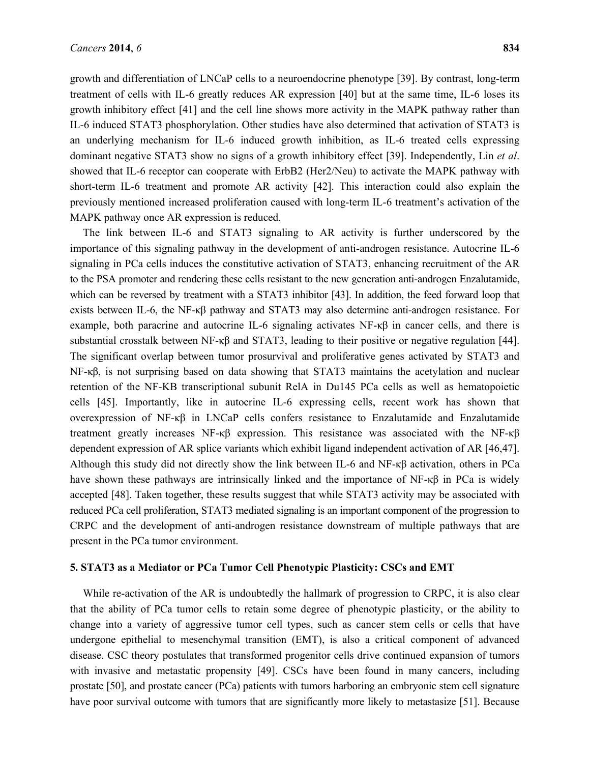growth and differentiation of LNCaP cells to a neuroendocrine phenotype [39]. By contrast, long-term treatment of cells with IL-6 greatly reduces AR expression [40] but at the same time, IL-6 loses its growth inhibitory effect [41] and the cell line shows more activity in the MAPK pathway rather than IL-6 induced STAT3 phosphorylation. Other studies have also determined that activation of STAT3 is an underlying mechanism for IL-6 induced growth inhibition, as IL-6 treated cells expressing dominant negative STAT3 show no signs of a growth inhibitory effect [39]. Independently, Lin *et al*. showed that IL-6 receptor can cooperate with ErbB2 (Her2/Neu) to activate the MAPK pathway with short-term IL-6 treatment and promote AR activity [42]. This interaction could also explain the previously mentioned increased proliferation caused with long-term IL-6 treatment's activation of the MAPK pathway once AR expression is reduced.

The link between IL-6 and STAT3 signaling to AR activity is further underscored by the importance of this signaling pathway in the development of anti-androgen resistance. Autocrine IL-6 signaling in PCa cells induces the constitutive activation of STAT3, enhancing recruitment of the AR to the PSA promoter and rendering these cells resistant to the new generation anti-androgen Enzalutamide, which can be reversed by treatment with a STAT3 inhibitor [43]. In addition, the feed forward loop that exists between IL-6, the NF-κβ pathway and STAT3 may also determine anti-androgen resistance. For example, both paracrine and autocrine IL-6 signaling activates  $NF-\kappa\beta$  in cancer cells, and there is substantial crosstalk between NF-κβ and STAT3, leading to their positive or negative regulation [44]. The significant overlap between tumor prosurvival and proliferative genes activated by STAT3 and NF-κβ, is not surprising based on data showing that STAT3 maintains the acetylation and nuclear retention of the NF-KB transcriptional subunit RelA in Du145 PCa cells as well as hematopoietic cells [45]. Importantly, like in autocrine IL-6 expressing cells, recent work has shown that overexpression of NF-κβ in LNCaP cells confers resistance to Enzalutamide and Enzalutamide treatment greatly increases NF- $\kappa\beta$  expression. This resistance was associated with the NF- $\kappa\beta$ dependent expression of AR splice variants which exhibit ligand independent activation of AR [46,47]. Although this study did not directly show the link between IL-6 and NF-κβ activation, others in PCa have shown these pathways are intrinsically linked and the importance of NF-κβ in PCa is widely accepted [48]. Taken together, these results suggest that while STAT3 activity may be associated with reduced PCa cell proliferation, STAT3 mediated signaling is an important component of the progression to CRPC and the development of anti-androgen resistance downstream of multiple pathways that are present in the PCa tumor environment.

#### **5. STAT3 as a Mediator or PCa Tumor Cell Phenotypic Plasticity: CSCs and EMT**

While re-activation of the AR is undoubtedly the hallmark of progression to CRPC, it is also clear that the ability of PCa tumor cells to retain some degree of phenotypic plasticity, or the ability to change into a variety of aggressive tumor cell types, such as cancer stem cells or cells that have undergone epithelial to mesenchymal transition (EMT), is also a critical component of advanced disease. CSC theory postulates that transformed progenitor cells drive continued expansion of tumors with invasive and metastatic propensity [49]. CSCs have been found in many cancers, including prostate [50], and prostate cancer (PCa) patients with tumors harboring an embryonic stem cell signature have poor survival outcome with tumors that are significantly more likely to metastasize [51]. Because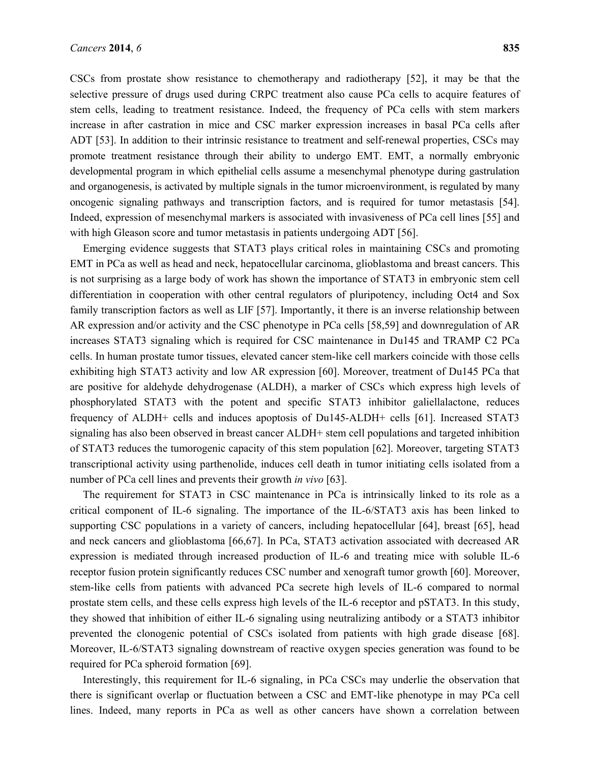CSCs from prostate show resistance to chemotherapy and radiotherapy [52], it may be that the selective pressure of drugs used during CRPC treatment also cause PCa cells to acquire features of stem cells, leading to treatment resistance. Indeed, the frequency of PCa cells with stem markers increase in after castration in mice and CSC marker expression increases in basal PCa cells after ADT [53]. In addition to their intrinsic resistance to treatment and self-renewal properties, CSCs may promote treatment resistance through their ability to undergo EMT. EMT, a normally embryonic developmental program in which epithelial cells assume a mesenchymal phenotype during gastrulation and organogenesis, is activated by multiple signals in the tumor microenvironment, is regulated by many oncogenic signaling pathways and transcription factors, and is required for tumor metastasis [54]. Indeed, expression of mesenchymal markers is associated with invasiveness of PCa cell lines [55] and with high Gleason score and tumor metastasis in patients undergoing ADT [56].

Emerging evidence suggests that STAT3 plays critical roles in maintaining CSCs and promoting EMT in PCa as well as head and neck, hepatocellular carcinoma, glioblastoma and breast cancers. This is not surprising as a large body of work has shown the importance of STAT3 in embryonic stem cell differentiation in cooperation with other central regulators of pluripotency, including Oct4 and Sox family transcription factors as well as LIF [57]. Importantly, it there is an inverse relationship between AR expression and/or activity and the CSC phenotype in PCa cells [58,59] and downregulation of AR increases STAT3 signaling which is required for CSC maintenance in Du145 and TRAMP C2 PCa cells. In human prostate tumor tissues, elevated cancer stem-like cell markers coincide with those cells exhibiting high STAT3 activity and low AR expression [60]. Moreover, treatment of Du145 PCa that are positive for aldehyde dehydrogenase (ALDH), a marker of CSCs which express high levels of phosphorylated STAT3 with the potent and specific STAT3 inhibitor galiellalactone, reduces frequency of ALDH+ cells and induces apoptosis of Du145-ALDH+ cells [61]. Increased STAT3 signaling has also been observed in breast cancer ALDH+ stem cell populations and targeted inhibition of STAT3 reduces the tumorogenic capacity of this stem population [62]. Moreover, targeting STAT3 transcriptional activity using parthenolide, induces cell death in tumor initiating cells isolated from a number of PCa cell lines and prevents their growth *in vivo* [63].

The requirement for STAT3 in CSC maintenance in PCa is intrinsically linked to its role as a critical component of IL-6 signaling. The importance of the IL-6/STAT3 axis has been linked to supporting CSC populations in a variety of cancers, including hepatocellular [64], breast [65], head and neck cancers and glioblastoma [66,67]. In PCa, STAT3 activation associated with decreased AR expression is mediated through increased production of IL-6 and treating mice with soluble IL-6 receptor fusion protein significantly reduces CSC number and xenograft tumor growth [60]. Moreover, stem-like cells from patients with advanced PCa secrete high levels of IL-6 compared to normal prostate stem cells, and these cells express high levels of the IL-6 receptor and pSTAT3. In this study, they showed that inhibition of either IL-6 signaling using neutralizing antibody or a STAT3 inhibitor prevented the clonogenic potential of CSCs isolated from patients with high grade disease [68]. Moreover, IL-6/STAT3 signaling downstream of reactive oxygen species generation was found to be required for PCa spheroid formation [69].

Interestingly, this requirement for IL-6 signaling, in PCa CSCs may underlie the observation that there is significant overlap or fluctuation between a CSC and EMT-like phenotype in may PCa cell lines. Indeed, many reports in PCa as well as other cancers have shown a correlation between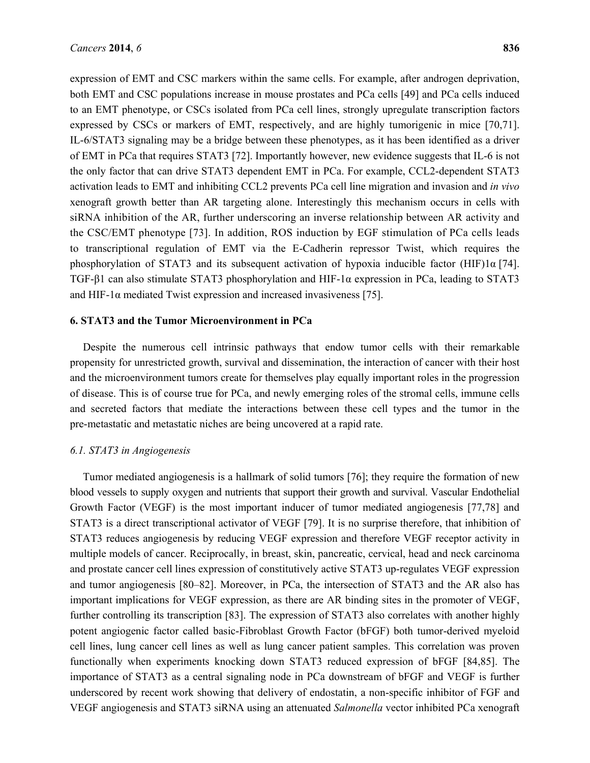expression of EMT and CSC markers within the same cells. For example, after androgen deprivation, both EMT and CSC populations increase in mouse prostates and PCa cells [49] and PCa cells induced to an EMT phenotype, or CSCs isolated from PCa cell lines, strongly upregulate transcription factors expressed by CSCs or markers of EMT, respectively, and are highly tumorigenic in mice [70,71]. IL-6/STAT3 signaling may be a bridge between these phenotypes, as it has been identified as a driver of EMT in PCa that requires STAT3 [72]. Importantly however, new evidence suggests that IL-6 is not the only factor that can drive STAT3 dependent EMT in PCa. For example, CCL2-dependent STAT3 activation leads to EMT and inhibiting CCL2 prevents PCa cell line migration and invasion and *in vivo* xenograft growth better than AR targeting alone. Interestingly this mechanism occurs in cells with siRNA inhibition of the AR, further underscoring an inverse relationship between AR activity and the CSC/EMT phenotype [73]. In addition, ROS induction by EGF stimulation of PCa cells leads to transcriptional regulation of EMT via the E-Cadherin repressor Twist, which requires the phosphorylation of STAT3 and its subsequent activation of hypoxia inducible factor (HIF)1 $\alpha$  [74]. TGF-β1 can also stimulate STAT3 phosphorylation and HIF-1α expression in PCa, leading to STAT3 and HIF-1 $\alpha$  mediated Twist expression and increased invasiveness [75].

#### **6. STAT3 and the Tumor Microenvironment in PCa**

Despite the numerous cell intrinsic pathways that endow tumor cells with their remarkable propensity for unrestricted growth, survival and dissemination, the interaction of cancer with their host and the microenvironment tumors create for themselves play equally important roles in the progression of disease. This is of course true for PCa, and newly emerging roles of the stromal cells, immune cells and secreted factors that mediate the interactions between these cell types and the tumor in the pre-metastatic and metastatic niches are being uncovered at a rapid rate.

## *6.1. STAT3 in Angiogenesis*

Tumor mediated angiogenesis is a hallmark of solid tumors [76]; they require the formation of new blood vessels to supply oxygen and nutrients that support their growth and survival. Vascular Endothelial Growth Factor (VEGF) is the most important inducer of tumor mediated angiogenesis [77,78] and STAT3 is a direct transcriptional activator of VEGF [79]. It is no surprise therefore, that inhibition of STAT3 reduces angiogenesis by reducing VEGF expression and therefore VEGF receptor activity in multiple models of cancer. Reciprocally, in breast, skin, pancreatic, cervical, head and neck carcinoma and prostate cancer cell lines expression of constitutively active STAT3 up-regulates VEGF expression and tumor angiogenesis [80–82]. Moreover, in PCa, the intersection of STAT3 and the AR also has important implications for VEGF expression, as there are AR binding sites in the promoter of VEGF, further controlling its transcription [83]. The expression of STAT3 also correlates with another highly potent angiogenic factor called basic-Fibroblast Growth Factor (bFGF) both tumor-derived myeloid cell lines, lung cancer cell lines as well as lung cancer patient samples. This correlation was proven functionally when experiments knocking down STAT3 reduced expression of bFGF [84,85]. The importance of STAT3 as a central signaling node in PCa downstream of bFGF and VEGF is further underscored by recent work showing that delivery of endostatin, a non-specific inhibitor of FGF and VEGF angiogenesis and STAT3 siRNA using an attenuated *Salmonella* vector inhibited PCa xenograft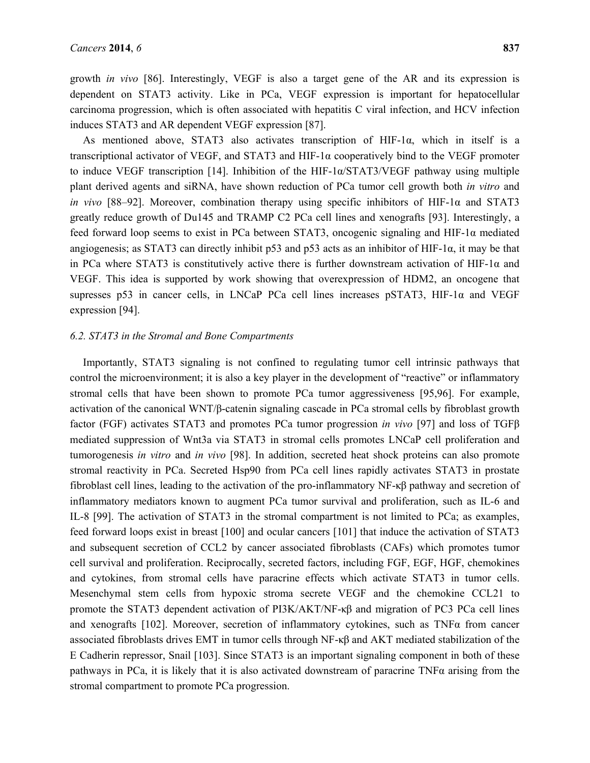growth *in vivo* [86]. Interestingly, VEGF is also a target gene of the AR and its expression is dependent on STAT3 activity. Like in PCa, VEGF expression is important for hepatocellular carcinoma progression, which is often associated with hepatitis C viral infection, and HCV infection induces STAT3 and AR dependent VEGF expression [87].

As mentioned above, STAT3 also activates transcription of HIF-1 $\alpha$ , which in itself is a transcriptional activator of VEGF, and STAT3 and HIF-1α cooperatively bind to the VEGF promoter to induce VEGF transcription [14]. Inhibition of the HIF-1α/STAT3/VEGF pathway using multiple plant derived agents and siRNA, have shown reduction of PCa tumor cell growth both *in vitro* and *in vivo* [88–92]. Moreover, combination therapy using specific inhibitors of HIF-1α and STAT3 greatly reduce growth of Du145 and TRAMP C2 PCa cell lines and xenografts [93]. Interestingly, a feed forward loop seems to exist in PCa between STAT3, oncogenic signaling and HIF-1α mediated angiogenesis; as STAT3 can directly inhibit p53 and p53 acts as an inhibitor of HIF-1α, it may be that in PCa where STAT3 is constitutively active there is further downstream activation of HIF-1 $\alpha$  and VEGF. This idea is supported by work showing that overexpression of HDM2, an oncogene that supresses p53 in cancer cells, in LNCaP PCa cell lines increases pSTAT3, HIF-1α and VEGF expression [94].

## *6.2. STAT3 in the Stromal and Bone Compartments*

Importantly, STAT3 signaling is not confined to regulating tumor cell intrinsic pathways that control the microenvironment; it is also a key player in the development of "reactive" or inflammatory stromal cells that have been shown to promote PCa tumor aggressiveness [95,96]. For example, activation of the canonical WNT/β-catenin signaling cascade in PCa stromal cells by fibroblast growth factor (FGF) activates STAT3 and promotes PCa tumor progression *in vivo* [97] and loss of TGFβ mediated suppression of Wnt3a via STAT3 in stromal cells promotes LNCaP cell proliferation and tumorogenesis *in vitro* and *in vivo* [98]. In addition, secreted heat shock proteins can also promote stromal reactivity in PCa. Secreted Hsp90 from PCa cell lines rapidly activates STAT3 in prostate fibroblast cell lines, leading to the activation of the pro-inflammatory NF-κβ pathway and secretion of inflammatory mediators known to augment PCa tumor survival and proliferation, such as IL-6 and IL-8 [99]. The activation of STAT3 in the stromal compartment is not limited to PCa; as examples, feed forward loops exist in breast [100] and ocular cancers [101] that induce the activation of STAT3 and subsequent secretion of CCL2 by cancer associated fibroblasts (CAFs) which promotes tumor cell survival and proliferation. Reciprocally, secreted factors, including FGF, EGF, HGF, chemokines and cytokines, from stromal cells have paracrine effects which activate STAT3 in tumor cells. Mesenchymal stem cells from hypoxic stroma secrete VEGF and the chemokine CCL21 to promote the STAT3 dependent activation of PI3K/AKT/NF-κβ and migration of PC3 PCa cell lines and xenografts [102]. Moreover, secretion of inflammatory cytokines, such as  $TNF\alpha$  from cancer associated fibroblasts drives EMT in tumor cells through  $NF - \kappa \beta$  and AKT mediated stabilization of the E Cadherin repressor, Snail [103]. Since STAT3 is an important signaling component in both of these pathways in PCa, it is likely that it is also activated downstream of paracrine TNF $\alpha$  arising from the stromal compartment to promote PCa progression.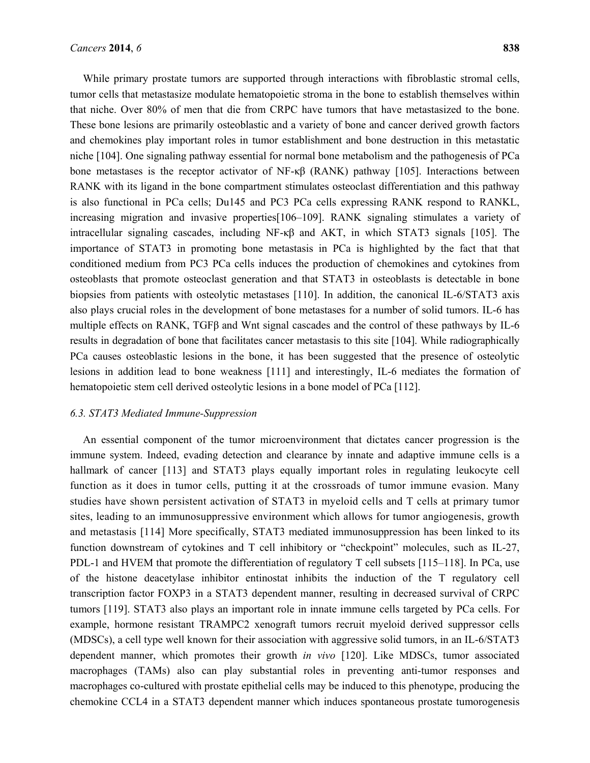While primary prostate tumors are supported through interactions with fibroblastic stromal cells, tumor cells that metastasize modulate hematopoietic stroma in the bone to establish themselves within that niche. Over 80% of men that die from CRPC have tumors that have metastasized to the bone. These bone lesions are primarily osteoblastic and a variety of bone and cancer derived growth factors and chemokines play important roles in tumor establishment and bone destruction in this metastatic niche [104]. One signaling pathway essential for normal bone metabolism and the pathogenesis of PCa bone metastases is the receptor activator of NF-κβ (RANK) pathway [105]. Interactions between RANK with its ligand in the bone compartment stimulates osteoclast differentiation and this pathway is also functional in PCa cells; Du145 and PC3 PCa cells expressing RANK respond to RANKL, increasing migration and invasive properties[106–109]. RANK signaling stimulates a variety of intracellular signaling cascades, including NF-κβ and AKT, in which STAT3 signals [105]. The importance of STAT3 in promoting bone metastasis in PCa is highlighted by the fact that that conditioned medium from PC3 PCa cells induces the production of chemokines and cytokines from osteoblasts that promote osteoclast generation and that STAT3 in osteoblasts is detectable in bone biopsies from patients with osteolytic metastases [110]. In addition, the canonical IL-6/STAT3 axis also plays crucial roles in the development of bone metastases for a number of solid tumors. IL-6 has multiple effects on RANK, TGFβ and Wnt signal cascades and the control of these pathways by IL-6 results in degradation of bone that facilitates cancer metastasis to this site [104]. While radiographically PCa causes osteoblastic lesions in the bone, it has been suggested that the presence of osteolytic lesions in addition lead to bone weakness [111] and interestingly, IL-6 mediates the formation of hematopoietic stem cell derived osteolytic lesions in a bone model of PCa [112].

## *6.3. STAT3 Mediated Immune-Suppression*

An essential component of the tumor microenvironment that dictates cancer progression is the immune system. Indeed, evading detection and clearance by innate and adaptive immune cells is a hallmark of cancer [113] and STAT3 plays equally important roles in regulating leukocyte cell function as it does in tumor cells, putting it at the crossroads of tumor immune evasion. Many studies have shown persistent activation of STAT3 in myeloid cells and T cells at primary tumor sites, leading to an immunosuppressive environment which allows for tumor angiogenesis, growth and metastasis [114] More specifically, STAT3 mediated immunosuppression has been linked to its function downstream of cytokines and T cell inhibitory or "checkpoint" molecules, such as IL-27, PDL-1 and HVEM that promote the differentiation of regulatory T cell subsets [115–118]. In PCa, use of the histone deacetylase inhibitor entinostat inhibits the induction of the T regulatory cell transcription factor FOXP3 in a STAT3 dependent manner, resulting in decreased survival of CRPC tumors [119]. STAT3 also plays an important role in innate immune cells targeted by PCa cells. For example, hormone resistant TRAMPC2 xenograft tumors recruit myeloid derived suppressor cells (MDSCs), a cell type well known for their association with aggressive solid tumors, in an IL-6/STAT3 dependent manner, which promotes their growth *in vivo* [120]. Like MDSCs, tumor associated macrophages (TAMs) also can play substantial roles in preventing anti-tumor responses and macrophages co-cultured with prostate epithelial cells may be induced to this phenotype, producing the chemokine CCL4 in a STAT3 dependent manner which induces spontaneous prostate tumorogenesis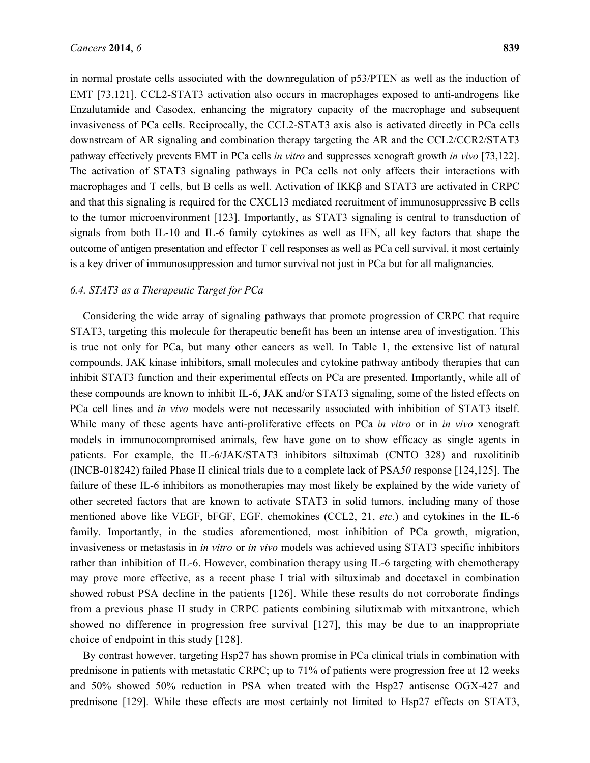in normal prostate cells associated with the downregulation of p53/PTEN as well as the induction of EMT [73,121]. CCL2-STAT3 activation also occurs in macrophages exposed to anti-androgens like Enzalutamide and Casodex, enhancing the migratory capacity of the macrophage and subsequent invasiveness of PCa cells. Reciprocally, the CCL2-STAT3 axis also is activated directly in PCa cells downstream of AR signaling and combination therapy targeting the AR and the CCL2/CCR2/STAT3 pathway effectively prevents EMT in PCa cells *in vitro* and suppresses xenograft growth *in vivo* [73,122]. The activation of STAT3 signaling pathways in PCa cells not only affects their interactions with macrophages and T cells, but B cells as well. Activation of IKKβ and STAT3 are activated in CRPC and that this signaling is required for the CXCL13 mediated recruitment of immunosuppressive B cells to the tumor microenvironment [123]. Importantly, as STAT3 signaling is central to transduction of signals from both IL-10 and IL-6 family cytokines as well as IFN, all key factors that shape the outcome of antigen presentation and effector T cell responses as well as PCa cell survival, it most certainly is a key driver of immunosuppression and tumor survival not just in PCa but for all malignancies.

#### *6.4. STAT3 as a Therapeutic Target for PCa*

Considering the wide array of signaling pathways that promote progression of CRPC that require STAT3, targeting this molecule for therapeutic benefit has been an intense area of investigation. This is true not only for PCa, but many other cancers as well. In Table 1, the extensive list of natural compounds, JAK kinase inhibitors, small molecules and cytokine pathway antibody therapies that can inhibit STAT3 function and their experimental effects on PCa are presented. Importantly, while all of these compounds are known to inhibit IL-6, JAK and/or STAT3 signaling, some of the listed effects on PCa cell lines and *in vivo* models were not necessarily associated with inhibition of STAT3 itself. While many of these agents have anti-proliferative effects on PCa *in vitro* or in *in vivo* xenograft models in immunocompromised animals, few have gone on to show efficacy as single agents in patients. For example, the IL-6/JAK/STAT3 inhibitors siltuximab (CNTO 328) and ruxolitinib (INCB-018242) failed Phase II clinical trials due to a complete lack of PSA*50* response [124,125]. The failure of these IL-6 inhibitors as monotherapies may most likely be explained by the wide variety of other secreted factors that are known to activate STAT3 in solid tumors, including many of those mentioned above like VEGF, bFGF, EGF, chemokines (CCL2, 21, *etc*.) and cytokines in the IL-6 family. Importantly, in the studies aforementioned, most inhibition of PCa growth, migration, invasiveness or metastasis in *in vitro* or *in vivo* models was achieved using STAT3 specific inhibitors rather than inhibition of IL-6. However, combination therapy using IL-6 targeting with chemotherapy may prove more effective, as a recent phase I trial with siltuximab and docetaxel in combination showed robust PSA decline in the patients [126]. While these results do not corroborate findings from a previous phase II study in CRPC patients combining silutixmab with mitxantrone, which showed no difference in progression free survival [127], this may be due to an inappropriate choice of endpoint in this study [128].

By contrast however, targeting Hsp27 has shown promise in PCa clinical trials in combination with prednisone in patients with metastatic CRPC; up to 71% of patients were progression free at 12 weeks and 50% showed 50% reduction in PSA when treated with the Hsp27 antisense OGX-427 and prednisone [129]. While these effects are most certainly not limited to Hsp27 effects on STAT3,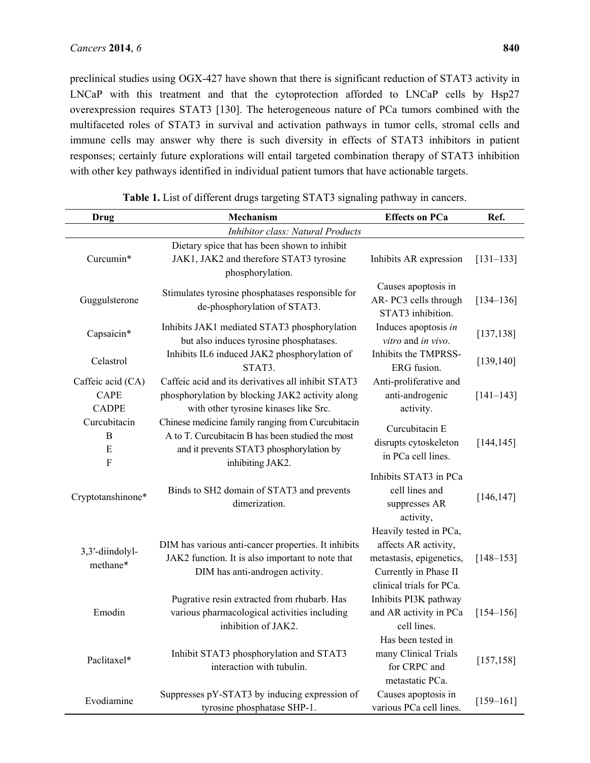preclinical studies using OGX-427 have shown that there is significant reduction of STAT3 activity in LNCaP with this treatment and that the cytoprotection afforded to LNCaP cells by Hsp27 overexpression requires STAT3 [130]. The heterogeneous nature of PCa tumors combined with the multifaceted roles of STAT3 in survival and activation pathways in tumor cells, stromal cells and immune cells may answer why there is such diversity in effects of STAT3 inhibitors in patient responses; certainly future explorations will entail targeted combination therapy of STAT3 inhibition with other key pathways identified in individual patient tumors that have actionable targets.

| <b>Drug</b>       | Mechanism                                                           | <b>Effects on PCa</b>                     | Ref.          |  |
|-------------------|---------------------------------------------------------------------|-------------------------------------------|---------------|--|
|                   | <b>Inhibitor class: Natural Products</b>                            |                                           |               |  |
|                   | Dietary spice that has been shown to inhibit                        |                                           |               |  |
| Curcumin*         | JAK1, JAK2 and therefore STAT3 tyrosine                             | Inhibits AR expression                    | $[131 - 133]$ |  |
|                   | phosphorylation.                                                    |                                           |               |  |
| Guggulsterone     | Stimulates tyrosine phosphatases responsible for                    | Causes apoptosis in                       | $[134 - 136]$ |  |
|                   | de-phosphorylation of STAT3.                                        | AR-PC3 cells through<br>STAT3 inhibition. |               |  |
|                   | Inhibits JAK1 mediated STAT3 phosphorylation                        | Induces apoptosis in                      |               |  |
| Capsaicin*        | but also induces tyrosine phosphatases.                             | vitro and in vivo.                        | [137, 138]    |  |
|                   | Inhibits IL6 induced JAK2 phosphorylation of                        | Inhibits the TMPRSS-                      | [139, 140]    |  |
| Celastrol         | STAT3.                                                              | ERG fusion.                               |               |  |
| Caffeic acid (CA) | Caffeic acid and its derivatives all inhibit STAT3                  | Anti-proliferative and                    |               |  |
| <b>CAPE</b>       | phosphorylation by blocking JAK2 activity along                     | anti-androgenic                           | $[141 - 143]$ |  |
| <b>CADPE</b>      | with other tyrosine kinases like Src.                               | activity.                                 |               |  |
| Curcubitacin      | Chinese medicine family ranging from Curcubitacin                   | Curcubitacin E                            |               |  |
| B                 | A to T. Curcubitacin B has been studied the most                    | disrupts cytoskeleton                     | [144, 145]    |  |
| E<br>$\mathbf F$  | and it prevents STAT3 phosphorylation by<br>inhibiting JAK2.        | in PCa cell lines.                        |               |  |
|                   |                                                                     | Inhibits STAT3 in PCa                     |               |  |
|                   | Binds to SH2 domain of STAT3 and prevents                           | cell lines and                            | [146, 147]    |  |
| Cryptotanshinone* | dimerization.                                                       | suppresses AR                             |               |  |
|                   |                                                                     | activity,                                 |               |  |
|                   |                                                                     | Heavily tested in PCa,                    |               |  |
| 3,3'-diindolyl-   | DIM has various anti-cancer properties. It inhibits                 | affects AR activity,                      |               |  |
| methane*          | JAK2 function. It is also important to note that                    | metastasis, epigenetics,                  | $[148 - 153]$ |  |
|                   | DIM has anti-androgen activity.                                     | Currently in Phase II                     |               |  |
|                   |                                                                     | clinical trials for PCa.                  |               |  |
| Emodin            | Pugrative resin extracted from rhubarb. Has                         | Inhibits PI3K pathway                     |               |  |
|                   | various pharmacological activities including<br>inhibition of JAK2. | and AR activity in PCa<br>cell lines.     | $[154 - 156]$ |  |
|                   |                                                                     | Has been tested in                        |               |  |
| Paclitaxel*       | Inhibit STAT3 phosphorylation and STAT3                             | many Clinical Trials                      |               |  |
|                   | interaction with tubulin.                                           | for CRPC and                              | [157, 158]    |  |
|                   |                                                                     | metastatic PCa.                           |               |  |
| Evodiamine        | Suppresses pY-STAT3 by inducing expression of                       | Causes apoptosis in                       |               |  |
|                   | tyrosine phosphatase SHP-1.                                         | various PCa cell lines.                   | $[159 - 161]$ |  |

**Table 1.** List of different drugs targeting STAT3 signaling pathway in cancers.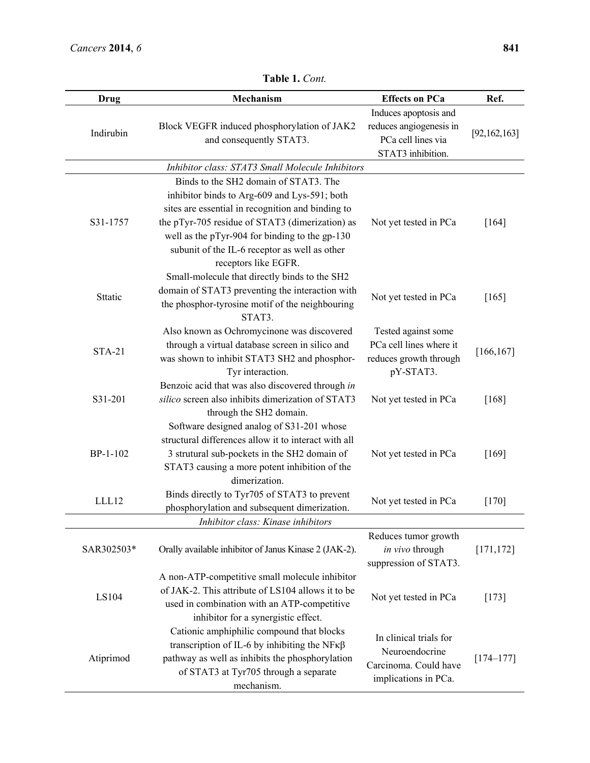| Drug          | Mechanism                                                                                                                                                                                                                                                                                                                                                                 | <b>Effects on PCa</b>                                                                       | Ref.           |
|---------------|---------------------------------------------------------------------------------------------------------------------------------------------------------------------------------------------------------------------------------------------------------------------------------------------------------------------------------------------------------------------------|---------------------------------------------------------------------------------------------|----------------|
| Indirubin     | Block VEGFR induced phosphorylation of JAK2<br>and consequently STAT3.                                                                                                                                                                                                                                                                                                    | Induces apoptosis and<br>reduces angiogenesis in<br>PCa cell lines via<br>STAT3 inhibition. | [92, 162, 163] |
|               | Inhibitor class: STAT3 Small Molecule Inhibitors                                                                                                                                                                                                                                                                                                                          |                                                                                             |                |
| S31-1757      | Binds to the SH2 domain of STAT3. The<br>inhibitor binds to Arg-609 and Lys-591; both<br>sites are essential in recognition and binding to<br>the pTyr-705 residue of STAT3 (dimerization) as<br>well as the pTyr-904 for binding to the gp-130<br>subunit of the IL-6 receptor as well as other<br>receptors like EGFR.<br>Small-molecule that directly binds to the SH2 | Not yet tested in PCa                                                                       | [164]          |
| Sttatic       | domain of STAT3 preventing the interaction with<br>the phosphor-tyrosine motif of the neighbouring<br>STAT3.                                                                                                                                                                                                                                                              | Not yet tested in PCa                                                                       | $[165]$        |
| <b>STA-21</b> | Also known as Ochromycinone was discovered<br>through a virtual database screen in silico and<br>was shown to inhibit STAT3 SH2 and phosphor-<br>Tyr interaction.                                                                                                                                                                                                         | Tested against some<br>PCa cell lines where it<br>reduces growth through<br>pY-STAT3.       | [166, 167]     |
| S31-201       | Benzoic acid that was also discovered through in<br>silico screen also inhibits dimerization of STAT3<br>through the SH2 domain.                                                                                                                                                                                                                                          | Not yet tested in PCa                                                                       | [168]          |
| BP-1-102      | Software designed analog of S31-201 whose<br>structural differences allow it to interact with all<br>3 strutural sub-pockets in the SH2 domain of<br>STAT3 causing a more potent inhibition of the<br>dimerization.                                                                                                                                                       | Not yet tested in PCa                                                                       | $[169]$        |
| LLL12         | Binds directly to Tyr705 of STAT3 to prevent<br>phosphorylation and subsequent dimerization.                                                                                                                                                                                                                                                                              | Not yet tested in PCa                                                                       | $[170]$        |
|               | Inhibitor class: Kinase inhibitors                                                                                                                                                                                                                                                                                                                                        |                                                                                             |                |
| SAR302503*    | Orally available inhibitor of Janus Kinase 2 (JAK-2).                                                                                                                                                                                                                                                                                                                     | Reduces tumor growth<br>in vivo through<br>suppression of STAT3.                            | [171, 172]     |
| LS104         | A non-ATP-competitive small molecule inhibitor<br>of JAK-2. This attribute of LS104 allows it to be<br>used in combination with an ATP-competitive<br>inhibitor for a synergistic effect.                                                                                                                                                                                 | Not yet tested in PCa                                                                       | $[173]$        |
| Atiprimod     | Cationic amphiphilic compound that blocks<br>transcription of IL-6 by inhibiting the NF $\kappa\beta$<br>pathway as well as inhibits the phosphorylation<br>of STAT3 at Tyr705 through a separate<br>mechanism.                                                                                                                                                           | In clinical trials for<br>Neuroendocrine<br>Carcinoma. Could have<br>implications in PCa.   | $[174 - 177]$  |

**Table 1.** *Cont.*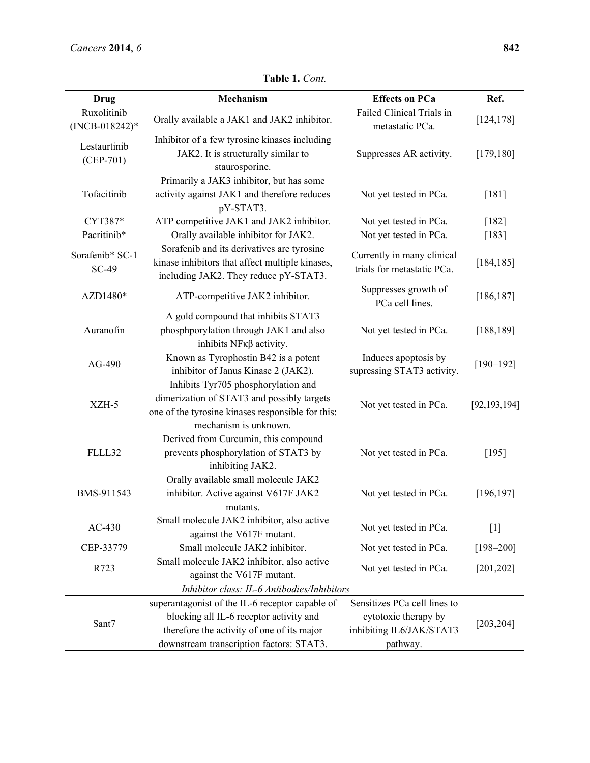| Drug                                        | Mechanism                                                                                                                                                       | <b>Effects on PCa</b>                                    | Ref.           |  |
|---------------------------------------------|-----------------------------------------------------------------------------------------------------------------------------------------------------------------|----------------------------------------------------------|----------------|--|
| Ruxolitinib<br>$(INCB-018242)*$             | Orally available a JAK1 and JAK2 inhibitor.                                                                                                                     | Failed Clinical Trials in<br>metastatic PCa.             | [124, 178]     |  |
| Lestaurtinib<br>$(CEP-701)$                 | Inhibitor of a few tyrosine kinases including<br>JAK2. It is structurally similar to<br>staurosporine.                                                          | Suppresses AR activity.                                  | [179, 180]     |  |
| Tofacitinib                                 | Primarily a JAK3 inhibitor, but has some<br>activity against JAK1 and therefore reduces<br>pY-STAT3.                                                            | Not yet tested in PCa.                                   |                |  |
| CYT387*                                     | ATP competitive JAK1 and JAK2 inhibitor.                                                                                                                        | Not yet tested in PCa.                                   | $[182]$        |  |
| Pacritinib*                                 | Orally available inhibitor for JAK2.                                                                                                                            | Not yet tested in PCa.                                   | $[183]$        |  |
| Sorafenib* SC-1<br><b>SC-49</b>             | Sorafenib and its derivatives are tyrosine<br>kinase inhibitors that affect multiple kinases,<br>including JAK2. They reduce pY-STAT3.                          | Currently in many clinical<br>trials for metastatic PCa. | [184, 185]     |  |
| AZD1480*                                    | ATP-competitive JAK2 inhibitor.                                                                                                                                 | Suppresses growth of<br>PCa cell lines.                  | [186, 187]     |  |
| Auranofin                                   | A gold compound that inhibits STAT3<br>phosphporylation through JAK1 and also<br>inhibits $N F \kappa \beta$ activity.                                          | Not yet tested in PCa.                                   | [188, 189]     |  |
| AG-490                                      | Known as Tyrophostin B42 is a potent<br>inhibitor of Janus Kinase 2 (JAK2).                                                                                     | Induces apoptosis by<br>supressing STAT3 activity.       | $[190 - 192]$  |  |
| XZH-5                                       | Inhibits Tyr705 phosphorylation and<br>dimerization of STAT3 and possibly targets<br>one of the tyrosine kinases responsible for this:<br>mechanism is unknown. | Not yet tested in PCa.                                   | [92, 193, 194] |  |
| FLLL32                                      | Derived from Curcumin, this compound<br>prevents phosphorylation of STAT3 by<br>inhibiting JAK2.                                                                | Not yet tested in PCa.                                   | [195]          |  |
| BMS-911543                                  | Orally available small molecule JAK2<br>inhibitor. Active against V617F JAK2<br>mutants.                                                                        | Not yet tested in PCa.                                   | [196, 197]     |  |
| $AC-430$                                    | Small molecule JAK2 inhibitor, also active<br>against the V617F mutant.                                                                                         | Not yet tested in PCa.                                   | $[1]$          |  |
| CEP-33779                                   | Small molecule JAK2 inhibitor.                                                                                                                                  | Not yet tested in PCa.                                   | $[198 - 200]$  |  |
| R723                                        | Small molecule JAK2 inhibitor, also active<br>against the V617F mutant.                                                                                         | Not yet tested in PCa.                                   | [201, 202]     |  |
| Inhibitor class: IL-6 Antibodies/Inhibitors |                                                                                                                                                                 |                                                          |                |  |
|                                             | superantagonist of the IL-6 receptor capable of                                                                                                                 | Sensitizes PCa cell lines to                             |                |  |
| Sant7                                       | blocking all IL-6 receptor activity and                                                                                                                         | cytotoxic therapy by                                     |                |  |
|                                             | therefore the activity of one of its major                                                                                                                      | inhibiting IL6/JAK/STAT3                                 | [203, 204]     |  |
|                                             | downstream transcription factors: STAT3.                                                                                                                        | pathway.                                                 |                |  |

**Table 1.** *Cont.*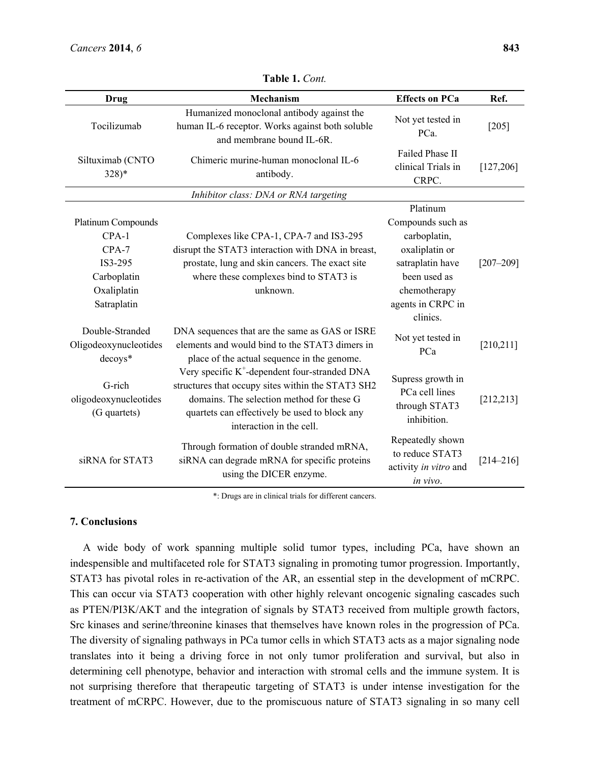| Drug                                                                                             | Mechanism                                                                                                                                                                                                                                | <b>Effects on PCa</b>                                                                                                                                | Ref.          |
|--------------------------------------------------------------------------------------------------|------------------------------------------------------------------------------------------------------------------------------------------------------------------------------------------------------------------------------------------|------------------------------------------------------------------------------------------------------------------------------------------------------|---------------|
| Tocilizumab                                                                                      | Humanized monoclonal antibody against the<br>human IL-6 receptor. Works against both soluble<br>and membrane bound IL-6R.                                                                                                                | Not yet tested in<br>PCa.                                                                                                                            | $[205]$       |
| Siltuximab (CNTO<br>$328)*$                                                                      | Chimeric murine-human monoclonal IL-6<br>antibody.                                                                                                                                                                                       | Failed Phase II<br>clinical Trials in<br>CRPC.                                                                                                       | [127, 206]    |
|                                                                                                  | Inhibitor class: DNA or RNA targeting                                                                                                                                                                                                    |                                                                                                                                                      |               |
| Platinum Compounds<br>$CPA-1$<br>$CPA-7$<br>IS3-295<br>Carboplatin<br>Oxaliplatin<br>Satraplatin | Complexes like CPA-1, CPA-7 and IS3-295<br>disrupt the STAT3 interaction with DNA in breast,<br>prostate, lung and skin cancers. The exact site<br>where these complexes bind to STAT3 is<br>unknown.                                    | Platinum<br>Compounds such as<br>carboplatin,<br>oxaliplatin or<br>satraplatin have<br>been used as<br>chemotherapy<br>agents in CRPC in<br>clinics. | $[207 - 209]$ |
| Double-Stranded<br>Oligodeoxynucleotides<br>decoys*                                              | DNA sequences that are the same as GAS or ISRE<br>elements and would bind to the STAT3 dimers in<br>place of the actual sequence in the genome.                                                                                          | Not yet tested in<br>PCa                                                                                                                             | [210, 211]    |
| G-rich<br>oligodeoxynucleotides<br>(G quartets)                                                  | Very specific K <sup>+</sup> -dependent four-stranded DNA<br>structures that occupy sites within the STAT3 SH2<br>domains. The selection method for these G<br>quartets can effectively be used to block any<br>interaction in the cell. | Supress growth in<br>PCa cell lines<br>through STAT3<br>inhibition.                                                                                  | [212, 213]    |
| siRNA for STAT3                                                                                  | Through formation of double stranded mRNA,<br>siRNA can degrade mRNA for specific proteins<br>using the DICER enzyme.                                                                                                                    | Repeatedly shown<br>to reduce STAT3<br>activity in vitro and<br>in vivo.                                                                             | $[214 - 216]$ |

**Table 1.** *Cont.*

\*: Drugs are in clinical trials for different cancers.

## **7. Conclusions**

A wide body of work spanning multiple solid tumor types, including PCa, have shown an indespensible and multifaceted role for STAT3 signaling in promoting tumor progression. Importantly, STAT3 has pivotal roles in re-activation of the AR, an essential step in the development of mCRPC. This can occur via STAT3 cooperation with other highly relevant oncogenic signaling cascades such as PTEN/PI3K/AKT and the integration of signals by STAT3 received from multiple growth factors, Src kinases and serine/threonine kinases that themselves have known roles in the progression of PCa. The diversity of signaling pathways in PCa tumor cells in which STAT3 acts as a major signaling node translates into it being a driving force in not only tumor proliferation and survival, but also in determining cell phenotype, behavior and interaction with stromal cells and the immune system. It is not surprising therefore that therapeutic targeting of STAT3 is under intense investigation for the treatment of mCRPC. However, due to the promiscuous nature of STAT3 signaling in so many cell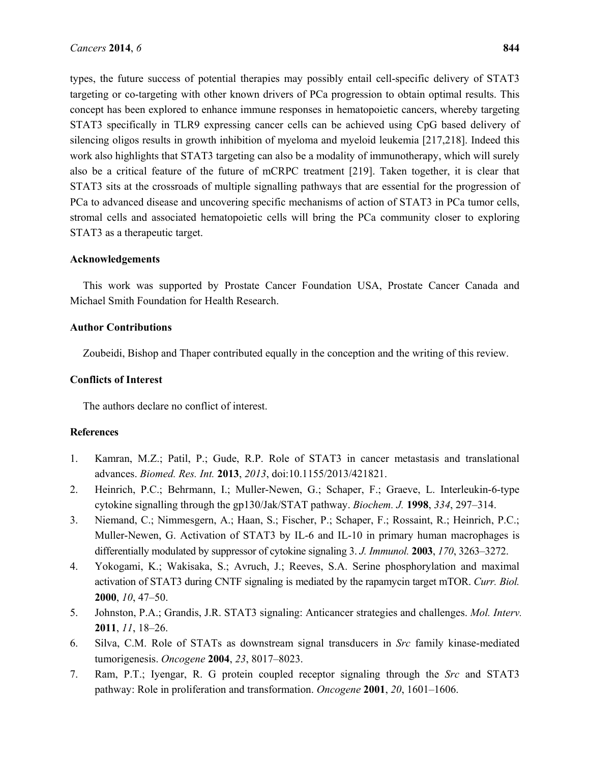types, the future success of potential therapies may possibly entail cell-specific delivery of STAT3 targeting or co-targeting with other known drivers of PCa progression to obtain optimal results. This concept has been explored to enhance immune responses in hematopoietic cancers, whereby targeting STAT3 specifically in TLR9 expressing cancer cells can be achieved using CpG based delivery of silencing oligos results in growth inhibition of myeloma and myeloid leukemia [217,218]. Indeed this work also highlights that STAT3 targeting can also be a modality of immunotherapy, which will surely also be a critical feature of the future of mCRPC treatment [219]. Taken together, it is clear that STAT3 sits at the crossroads of multiple signalling pathways that are essential for the progression of PCa to advanced disease and uncovering specific mechanisms of action of STAT3 in PCa tumor cells, stromal cells and associated hematopoietic cells will bring the PCa community closer to exploring STAT3 as a therapeutic target.

## **Acknowledgements**

This work was supported by Prostate Cancer Foundation USA, Prostate Cancer Canada and Michael Smith Foundation for Health Research.

## **Author Contributions**

Zoubeidi, Bishop and Thaper contributed equally in the conception and the writing of this review.

## **Conflicts of Interest**

The authors declare no conflict of interest.

## **References**

- 1. Kamran, M.Z.; Patil, P.; Gude, R.P. Role of STAT3 in cancer metastasis and translational advances. *Biomed. Res. Int.* **2013**, *2013*, doi:10.1155/2013/421821.
- 2. Heinrich, P.C.; Behrmann, I.; Muller-Newen, G.; Schaper, F.; Graeve, L. Interleukin-6-type cytokine signalling through the gp130/Jak/STAT pathway. *Biochem. J.* **1998**, *334*, 297–314.
- 3. Niemand, C.; Nimmesgern, A.; Haan, S.; Fischer, P.; Schaper, F.; Rossaint, R.; Heinrich, P.C.; Muller-Newen, G. Activation of STAT3 by IL-6 and IL-10 in primary human macrophages is differentially modulated by suppressor of cytokine signaling 3. *J. Immunol.* **2003**, *170*, 3263–3272.
- 4. Yokogami, K.; Wakisaka, S.; Avruch, J.; Reeves, S.A. Serine phosphorylation and maximal activation of STAT3 during CNTF signaling is mediated by the rapamycin target mTOR. *Curr. Biol.* **2000**, *10*, 47–50.
- 5. Johnston, P.A.; Grandis, J.R. STAT3 signaling: Anticancer strategies and challenges. *Mol. Interv.* **2011**, *11*, 18–26.
- 6. Silva, C.M. Role of STATs as downstream signal transducers in *Src* family kinase-mediated tumorigenesis. *Oncogene* **2004**, *23*, 8017–8023.
- 7. Ram, P.T.; Iyengar, R. G protein coupled receptor signaling through the *Src* and STAT3 pathway: Role in proliferation and transformation. *Oncogene* **2001**, *20*, 1601–1606.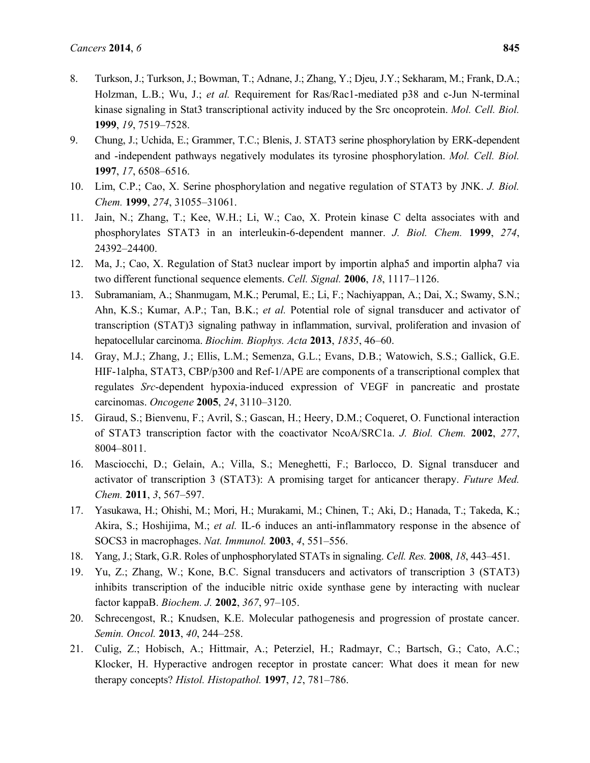- 8. Turkson, J.; Turkson, J.; Bowman, T.; Adnane, J.; Zhang, Y.; Djeu, J.Y.; Sekharam, M.; Frank, D.A.; Holzman, L.B.; Wu, J.; *et al.* Requirement for Ras/Rac1-mediated p38 and c-Jun N-terminal kinase signaling in Stat3 transcriptional activity induced by the Src oncoprotein. *Mol. Cell. Biol.* **1999**, *19*, 7519–7528.
- 9. Chung, J.; Uchida, E.; Grammer, T.C.; Blenis, J. STAT3 serine phosphorylation by ERK-dependent and -independent pathways negatively modulates its tyrosine phosphorylation. *Mol. Cell. Biol.* **1997**, *17*, 6508–6516.
- 10. Lim, C.P.; Cao, X. Serine phosphorylation and negative regulation of STAT3 by JNK. *J. Biol. Chem.* **1999**, *274*, 31055–31061.
- 11. Jain, N.; Zhang, T.; Kee, W.H.; Li, W.; Cao, X. Protein kinase C delta associates with and phosphorylates STAT3 in an interleukin-6-dependent manner. *J. Biol. Chem.* **1999**, *274*, 24392–24400.
- 12. Ma, J.; Cao, X. Regulation of Stat3 nuclear import by importin alpha5 and importin alpha7 via two different functional sequence elements. *Cell. Signal.* **2006**, *18*, 1117–1126.
- 13. Subramaniam, A.; Shanmugam, M.K.; Perumal, E.; Li, F.; Nachiyappan, A.; Dai, X.; Swamy, S.N.; Ahn, K.S.; Kumar, A.P.; Tan, B.K.; *et al.* Potential role of signal transducer and activator of transcription (STAT)3 signaling pathway in inflammation, survival, proliferation and invasion of hepatocellular carcinoma. *Biochim. Biophys. Acta* **2013**, *1835*, 46–60.
- 14. Gray, M.J.; Zhang, J.; Ellis, L.M.; Semenza, G.L.; Evans, D.B.; Watowich, S.S.; Gallick, G.E. HIF-1alpha, STAT3, CBP/p300 and Ref-1/APE are components of a transcriptional complex that regulates *Src*-dependent hypoxia-induced expression of VEGF in pancreatic and prostate carcinomas. *Oncogene* **2005**, *24*, 3110–3120.
- 15. Giraud, S.; Bienvenu, F.; Avril, S.; Gascan, H.; Heery, D.M.; Coqueret, O. Functional interaction of STAT3 transcription factor with the coactivator NcoA/SRC1a. *J. Biol. Chem.* **2002**, *277*, 8004–8011.
- 16. Masciocchi, D.; Gelain, A.; Villa, S.; Meneghetti, F.; Barlocco, D. Signal transducer and activator of transcription 3 (STAT3): A promising target for anticancer therapy. *Future Med. Chem.* **2011**, *3*, 567–597.
- 17. Yasukawa, H.; Ohishi, M.; Mori, H.; Murakami, M.; Chinen, T.; Aki, D.; Hanada, T.; Takeda, K.; Akira, S.; Hoshijima, M.; *et al.* IL-6 induces an anti-inflammatory response in the absence of SOCS3 in macrophages. *Nat. Immunol.* **2003**, *4*, 551–556.
- 18. Yang, J.; Stark, G.R. Roles of unphosphorylated STATs in signaling. *Cell. Res.* **2008**, *18*, 443–451.
- 19. Yu, Z.; Zhang, W.; Kone, B.C. Signal transducers and activators of transcription 3 (STAT3) inhibits transcription of the inducible nitric oxide synthase gene by interacting with nuclear factor kappaB. *Biochem. J.* **2002**, *367*, 97–105.
- 20. Schrecengost, R.; Knudsen, K.E. Molecular pathogenesis and progression of prostate cancer. *Semin. Oncol.* **2013**, *40*, 244–258.
- 21. Culig, Z.; Hobisch, A.; Hittmair, A.; Peterziel, H.; Radmayr, C.; Bartsch, G.; Cato, A.C.; Klocker, H. Hyperactive androgen receptor in prostate cancer: What does it mean for new therapy concepts? *Histol. Histopathol.* **1997**, *12*, 781–786.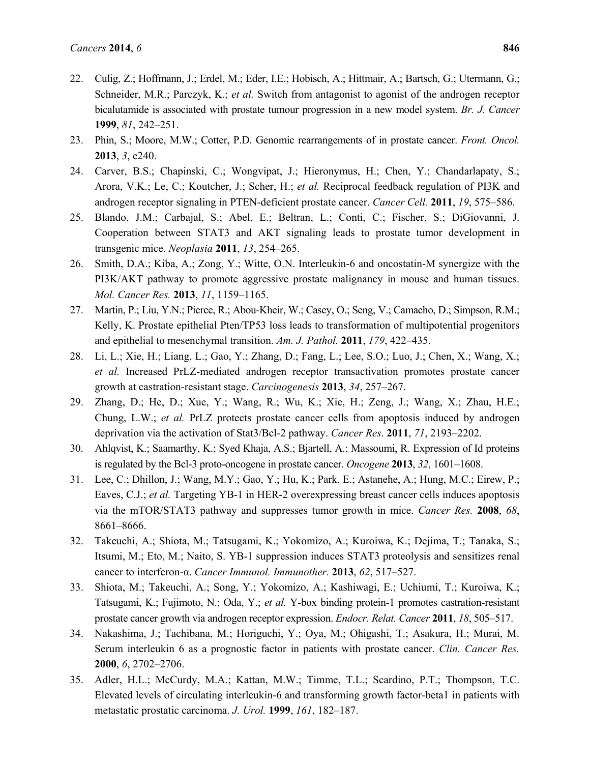- 22. Culig, Z.; Hoffmann, J.; Erdel, M.; Eder, I.E.; Hobisch, A.; Hittmair, A.; Bartsch, G.; Utermann, G.; Schneider, M.R.; Parczyk, K.; *et al.* Switch from antagonist to agonist of the androgen receptor bicalutamide is associated with prostate tumour progression in a new model system. *Br. J. Cancer* **1999**, *81*, 242–251.
- 23. Phin, S.; Moore, M.W.; Cotter, P.D. Genomic rearrangements of in prostate cancer. *Front. Oncol.* **2013**, *3*, e240.
- 24. Carver, B.S.; Chapinski, C.; Wongvipat, J.; Hieronymus, H.; Chen, Y.; Chandarlapaty, S.; Arora, V.K.; Le, C.; Koutcher, J.; Scher, H.; *et al.* Reciprocal feedback regulation of PI3K and androgen receptor signaling in PTEN-deficient prostate cancer. *Cancer Cell.* **2011**, *19*, 575–586.
- 25. Blando, J.M.; Carbajal, S.; Abel, E.; Beltran, L.; Conti, C.; Fischer, S.; DiGiovanni, J. Cooperation between STAT3 and AKT signaling leads to prostate tumor development in transgenic mice. *Neoplasia* **2011**, *13*, 254–265.
- 26. Smith, D.A.; Kiba, A.; Zong, Y.; Witte, O.N. Interleukin-6 and oncostatin-M synergize with the PI3K/AKT pathway to promote aggressive prostate malignancy in mouse and human tissues. *Mol. Cancer Res.* **2013**, *11*, 1159–1165.
- 27. Martin, P.; Liu, Y.N.; Pierce, R.; Abou-Kheir, W.; Casey, O.; Seng, V.; Camacho, D.; Simpson, R.M.; Kelly, K. Prostate epithelial Pten/TP53 loss leads to transformation of multipotential progenitors and epithelial to mesenchymal transition. *Am. J. Pathol.* **2011**, *179*, 422–435.
- 28. Li, L.; Xie, H.; Liang, L.; Gao, Y.; Zhang, D.; Fang, L.; Lee, S.O.; Luo, J.; Chen, X.; Wang, X.; *et al.* Increased PrLZ-mediated androgen receptor transactivation promotes prostate cancer growth at castration-resistant stage. *Carcinogenesis* **2013**, *34*, 257–267.
- 29. Zhang, D.; He, D.; Xue, Y.; Wang, R.; Wu, K.; Xie, H.; Zeng, J.; Wang, X.; Zhau, H.E.; Chung, L.W.; *et al.* PrLZ protects prostate cancer cells from apoptosis induced by androgen deprivation via the activation of Stat3/Bcl-2 pathway. *Cancer Res*. **2011**, *71*, 2193–2202.
- 30. Ahlqvist, K.; Saamarthy, K.; Syed Khaja, A.S.; Bjartell, A.; Massoumi, R. Expression of Id proteins is regulated by the Bcl-3 proto-oncogene in prostate cancer. *Oncogene* **2013**, *32*, 1601–1608.
- 31. Lee, C.; Dhillon, J.; Wang, M.Y.; Gao, Y.; Hu, K.; Park, E.; Astanehe, A.; Hung, M.C.; Eirew, P.; Eaves, C.J.; *et al.* Targeting YB-1 in HER-2 overexpressing breast cancer cells induces apoptosis via the mTOR/STAT3 pathway and suppresses tumor growth in mice. *Cancer Res.* **2008**, *68*, 8661–8666.
- 32. Takeuchi, A.; Shiota, M.; Tatsugami, K.; Yokomizo, A.; Kuroiwa, K.; Dejima, T.; Tanaka, S.; Itsumi, M.; Eto, M.; Naito, S. YB-1 suppression induces STAT3 proteolysis and sensitizes renal cancer to interferon-α. *Cancer Immunol. Immunother.* **2013**, *62*, 517–527.
- 33. Shiota, M.; Takeuchi, A.; Song, Y.; Yokomizo, A.; Kashiwagi, E.; Uchiumi, T.; Kuroiwa, K.; Tatsugami, K.; Fujimoto, N.; Oda, Y.; *et al.* Y-box binding protein-1 promotes castration-resistant prostate cancer growth via androgen receptor expression. *Endocr. Relat. Cancer* **2011**, *18*, 505–517.
- 34. Nakashima, J.; Tachibana, M.; Horiguchi, Y.; Oya, M.; Ohigashi, T.; Asakura, H.; Murai, M. Serum interleukin 6 as a prognostic factor in patients with prostate cancer. *Clin. Cancer Res.* **2000**, *6*, 2702–2706.
- 35. Adler, H.L.; McCurdy, M.A.; Kattan, M.W.; Timme, T.L.; Scardino, P.T.; Thompson, T.C. Elevated levels of circulating interleukin-6 and transforming growth factor-beta1 in patients with metastatic prostatic carcinoma. *J. Urol.* **1999**, *161*, 182–187.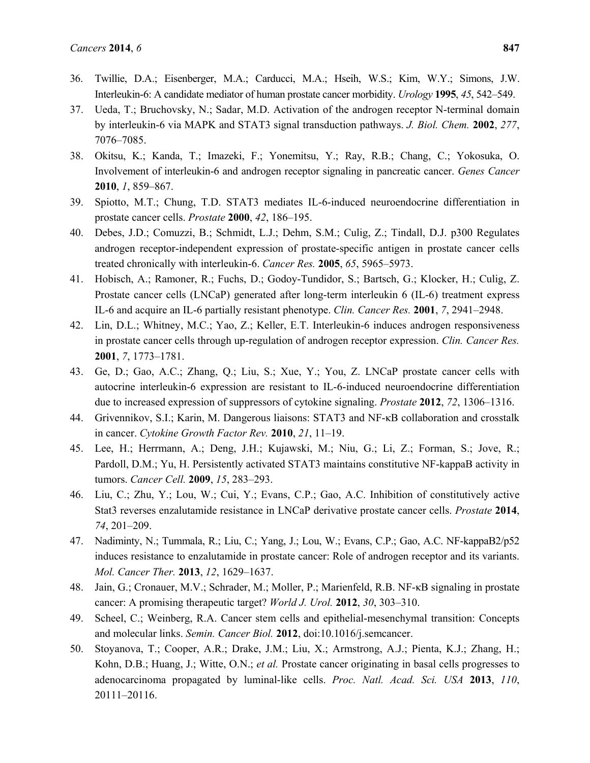- 36. Twillie, D.A.; Eisenberger, M.A.; Carducci, M.A.; Hseih, W.S.; Kim, W.Y.; Simons, J.W. Interleukin-6: A candidate mediator of human prostate cancer morbidity. *Urology* **1995**, *45*, 542–549.
- 37. Ueda, T.; Bruchovsky, N.; Sadar, M.D. Activation of the androgen receptor N-terminal domain by interleukin-6 via MAPK and STAT3 signal transduction pathways. *J. Biol. Chem.* **2002**, *277*, 7076–7085.
- 38. Okitsu, K.; Kanda, T.; Imazeki, F.; Yonemitsu, Y.; Ray, R.B.; Chang, C.; Yokosuka, O. Involvement of interleukin-6 and androgen receptor signaling in pancreatic cancer. *Genes Cancer* **2010**, *1*, 859–867.
- 39. Spiotto, M.T.; Chung, T.D. STAT3 mediates IL-6-induced neuroendocrine differentiation in prostate cancer cells. *Prostate* **2000**, *42*, 186–195.
- 40. Debes, J.D.; Comuzzi, B.; Schmidt, L.J.; Dehm, S.M.; Culig, Z.; Tindall, D.J. p300 Regulates androgen receptor-independent expression of prostate-specific antigen in prostate cancer cells treated chronically with interleukin-6. *Cancer Res.* **2005**, *65*, 5965–5973.
- 41. Hobisch, A.; Ramoner, R.; Fuchs, D.; Godoy-Tundidor, S.; Bartsch, G.; Klocker, H.; Culig, Z. Prostate cancer cells (LNCaP) generated after long-term interleukin 6 (IL-6) treatment express IL-6 and acquire an IL-6 partially resistant phenotype. *Clin. Cancer Res.* **2001**, *7*, 2941–2948.
- 42. Lin, D.L.; Whitney, M.C.; Yao, Z.; Keller, E.T. Interleukin-6 induces androgen responsiveness in prostate cancer cells through up-regulation of androgen receptor expression. *Clin. Cancer Res.* **2001**, *7*, 1773–1781.
- 43. Ge, D.; Gao, A.C.; Zhang, Q.; Liu, S.; Xue, Y.; You, Z. LNCaP prostate cancer cells with autocrine interleukin-6 expression are resistant to IL-6-induced neuroendocrine differentiation due to increased expression of suppressors of cytokine signaling. *Prostate* **2012**, *72*, 1306–1316.
- 44. Grivennikov, S.I.; Karin, M. Dangerous liaisons: STAT3 and NF-κB collaboration and crosstalk in cancer. *Cytokine Growth Factor Rev.* **2010**, *21*, 11–19.
- 45. Lee, H.; Herrmann, A.; Deng, J.H.; Kujawski, M.; Niu, G.; Li, Z.; Forman, S.; Jove, R.; Pardoll, D.M.; Yu, H. Persistently activated STAT3 maintains constitutive NF-kappaB activity in tumors. *Cancer Cell.* **2009**, *15*, 283–293.
- 46. Liu, C.; Zhu, Y.; Lou, W.; Cui, Y.; Evans, C.P.; Gao, A.C. Inhibition of constitutively active Stat3 reverses enzalutamide resistance in LNCaP derivative prostate cancer cells. *Prostate* **2014**, *74*, 201–209.
- 47. Nadiminty, N.; Tummala, R.; Liu, C.; Yang, J.; Lou, W.; Evans, C.P.; Gao, A.C. NF-kappaB2/p52 induces resistance to enzalutamide in prostate cancer: Role of androgen receptor and its variants. *Mol. Cancer Ther.* **2013**, *12*, 1629–1637.
- 48. Jain, G.; Cronauer, M.V.; Schrader, M.; Moller, P.; Marienfeld, R.B. NF-κB signaling in prostate cancer: A promising therapeutic target? *World J. Urol.* **2012**, *30*, 303–310.
- 49. Scheel, C.; Weinberg, R.A. Cancer stem cells and epithelial-mesenchymal transition: Concepts and molecular links. *Semin. Cancer Biol.* **2012**, doi:10.1016/j.semcancer.
- 50. Stoyanova, T.; Cooper, A.R.; Drake, J.M.; Liu, X.; Armstrong, A.J.; Pienta, K.J.; Zhang, H.; Kohn, D.B.; Huang, J.; Witte, O.N.; *et al.* Prostate cancer originating in basal cells progresses to adenocarcinoma propagated by luminal-like cells. *Proc. Natl. Acad. Sci. USA* **2013**, *110*, 20111–20116.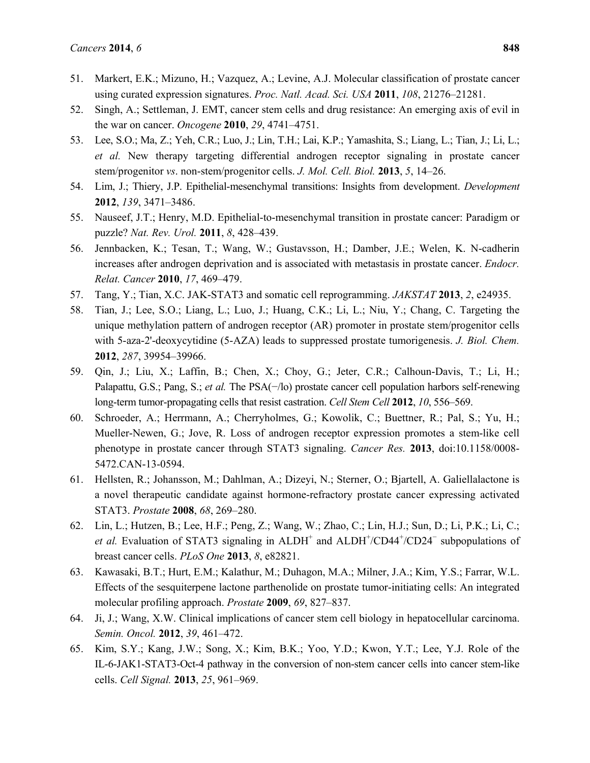- 51. Markert, E.K.; Mizuno, H.; Vazquez, A.; Levine, A.J. Molecular classification of prostate cancer using curated expression signatures. *Proc. Natl. Acad. Sci. USA* **2011**, *108*, 21276–21281.
- 52. Singh, A.; Settleman, J. EMT, cancer stem cells and drug resistance: An emerging axis of evil in the war on cancer. *Oncogene* **2010**, *29*, 4741–4751.
- 53. Lee, S.O.; Ma, Z.; Yeh, C.R.; Luo, J.; Lin, T.H.; Lai, K.P.; Yamashita, S.; Liang, L.; Tian, J.; Li, L.; *et al.* New therapy targeting differential androgen receptor signaling in prostate cancer stem/progenitor *vs*. non-stem/progenitor cells. *J. Mol. Cell. Biol.* **2013**, *5*, 14–26.
- 54. Lim, J.; Thiery, J.P. Epithelial-mesenchymal transitions: Insights from development. *Development* **2012**, *139*, 3471–3486.
- 55. Nauseef, J.T.; Henry, M.D. Epithelial-to-mesenchymal transition in prostate cancer: Paradigm or puzzle? *Nat. Rev. Urol.* **2011**, *8*, 428–439.
- 56. Jennbacken, K.; Tesan, T.; Wang, W.; Gustavsson, H.; Damber, J.E.; Welen, K. N-cadherin increases after androgen deprivation and is associated with metastasis in prostate cancer. *Endocr. Relat. Cancer* **2010**, *17*, 469–479.
- 57. Tang, Y.; Tian, X.C. JAK-STAT3 and somatic cell reprogramming. *JAKSTAT* **2013**, *2*, e24935.
- 58. Tian, J.; Lee, S.O.; Liang, L.; Luo, J.; Huang, C.K.; Li, L.; Niu, Y.; Chang, C. Targeting the unique methylation pattern of androgen receptor (AR) promoter in prostate stem/progenitor cells with 5-aza-2'-deoxycytidine (5-AZA) leads to suppressed prostate tumorigenesis. *J. Biol. Chem.* **2012**, *287*, 39954–39966.
- 59. Qin, J.; Liu, X.; Laffin, B.; Chen, X.; Choy, G.; Jeter, C.R.; Calhoun-Davis, T.; Li, H.; Palapattu, G.S.; Pang, S.; *et al.* The PSA(−/lo) prostate cancer cell population harbors self-renewing long-term tumor-propagating cells that resist castration. *Cell Stem Cell* **2012**, *10*, 556–569.
- 60. Schroeder, A.; Herrmann, A.; Cherryholmes, G.; Kowolik, C.; Buettner, R.; Pal, S.; Yu, H.; Mueller-Newen, G.; Jove, R. Loss of androgen receptor expression promotes a stem-like cell phenotype in prostate cancer through STAT3 signaling. *Cancer Res.* **2013**, doi:10.1158/0008- 5472.CAN-13-0594.
- 61. Hellsten, R.; Johansson, M.; Dahlman, A.; Dizeyi, N.; Sterner, O.; Bjartell, A. Galiellalactone is a novel therapeutic candidate against hormone-refractory prostate cancer expressing activated STAT3. *Prostate* **2008**, *68*, 269–280.
- 62. Lin, L.; Hutzen, B.; Lee, H.F.; Peng, Z.; Wang, W.; Zhao, C.; Lin, H.J.; Sun, D.; Li, P.K.; Li, C.; *et al.* Evaluation of STAT3 signaling in  $ALDH^+$  and  $ALDH^+/CD44+/CD24^-$  subpopulations of breast cancer cells. *PLoS One* **2013**, *8*, e82821.
- 63. Kawasaki, B.T.; Hurt, E.M.; Kalathur, M.; Duhagon, M.A.; Milner, J.A.; Kim, Y.S.; Farrar, W.L. Effects of the sesquiterpene lactone parthenolide on prostate tumor-initiating cells: An integrated molecular profiling approach. *Prostate* **2009**, *69*, 827–837.
- 64. Ji, J.; Wang, X.W. Clinical implications of cancer stem cell biology in hepatocellular carcinoma. *Semin. Oncol.* **2012**, *39*, 461–472.
- 65. Kim, S.Y.; Kang, J.W.; Song, X.; Kim, B.K.; Yoo, Y.D.; Kwon, Y.T.; Lee, Y.J. Role of the IL-6-JAK1-STAT3-Oct-4 pathway in the conversion of non-stem cancer cells into cancer stem-like cells. *Cell Signal.* **2013**, *25*, 961–969.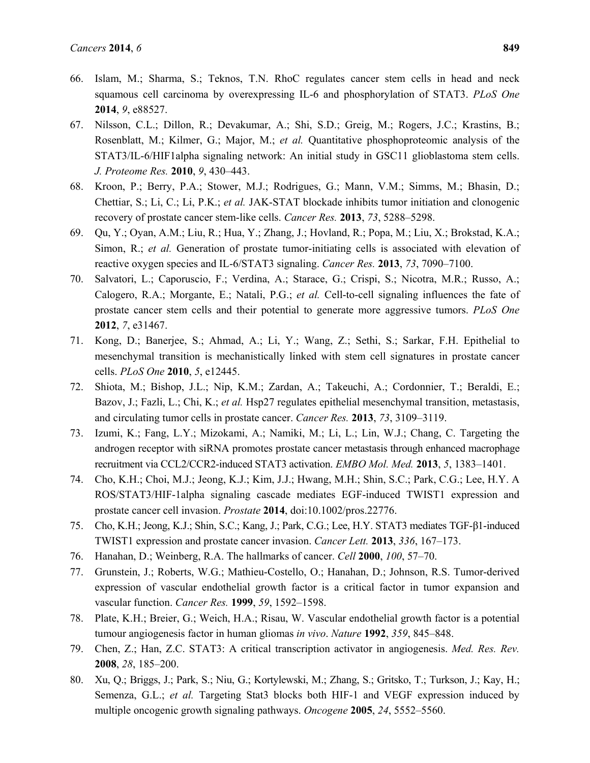- 66. Islam, M.; Sharma, S.; Teknos, T.N. RhoC regulates cancer stem cells in head and neck squamous cell carcinoma by overexpressing IL-6 and phosphorylation of STAT3. *PLoS One* **2014**, *9*, e88527.
- 67. Nilsson, C.L.; Dillon, R.; Devakumar, A.; Shi, S.D.; Greig, M.; Rogers, J.C.; Krastins, B.; Rosenblatt, M.; Kilmer, G.; Major, M.; *et al.* Quantitative phosphoproteomic analysis of the STAT3/IL-6/HIF1alpha signaling network: An initial study in GSC11 glioblastoma stem cells. *J. Proteome Res.* **2010**, *9*, 430–443.
- 68. Kroon, P.; Berry, P.A.; Stower, M.J.; Rodrigues, G.; Mann, V.M.; Simms, M.; Bhasin, D.; Chettiar, S.; Li, C.; Li, P.K.; *et al.* JAK-STAT blockade inhibits tumor initiation and clonogenic recovery of prostate cancer stem-like cells. *Cancer Res.* **2013**, *73*, 5288–5298.
- 69. Qu, Y.; Oyan, A.M.; Liu, R.; Hua, Y.; Zhang, J.; Hovland, R.; Popa, M.; Liu, X.; Brokstad, K.A.; Simon, R.; *et al.* Generation of prostate tumor-initiating cells is associated with elevation of reactive oxygen species and IL-6/STAT3 signaling. *Cancer Res.* **2013**, *73*, 7090–7100.
- 70. Salvatori, L.; Caporuscio, F.; Verdina, A.; Starace, G.; Crispi, S.; Nicotra, M.R.; Russo, A.; Calogero, R.A.; Morgante, E.; Natali, P.G.; *et al.* Cell-to-cell signaling influences the fate of prostate cancer stem cells and their potential to generate more aggressive tumors. *PLoS One* **2012**, *7*, e31467.
- 71. Kong, D.; Banerjee, S.; Ahmad, A.; Li, Y.; Wang, Z.; Sethi, S.; Sarkar, F.H. Epithelial to mesenchymal transition is mechanistically linked with stem cell signatures in prostate cancer cells. *PLoS One* **2010**, *5*, e12445.
- 72. Shiota, M.; Bishop, J.L.; Nip, K.M.; Zardan, A.; Takeuchi, A.; Cordonnier, T.; Beraldi, E.; Bazov, J.; Fazli, L.; Chi, K.; *et al.* Hsp27 regulates epithelial mesenchymal transition, metastasis, and circulating tumor cells in prostate cancer. *Cancer Res.* **2013**, *73*, 3109–3119.
- 73. Izumi, K.; Fang, L.Y.; Mizokami, A.; Namiki, M.; Li, L.; Lin, W.J.; Chang, C. Targeting the androgen receptor with siRNA promotes prostate cancer metastasis through enhanced macrophage recruitment via CCL2/CCR2-induced STAT3 activation. *EMBO Mol. Med.* **2013**, *5*, 1383–1401.
- 74. Cho, K.H.; Choi, M.J.; Jeong, K.J.; Kim, J.J.; Hwang, M.H.; Shin, S.C.; Park, C.G.; Lee, H.Y. A ROS/STAT3/HIF-1alpha signaling cascade mediates EGF-induced TWIST1 expression and prostate cancer cell invasion. *Prostate* **2014**, doi:10.1002/pros.22776.
- 75. Cho, K.H.; Jeong, K.J.; Shin, S.C.; Kang, J.; Park, C.G.; Lee, H.Y. STAT3 mediates TGF-β1-induced TWIST1 expression and prostate cancer invasion. *Cancer Lett.* **2013**, *336*, 167–173.
- 76. Hanahan, D.; Weinberg, R.A. The hallmarks of cancer. *Cell* **2000**, *100*, 57–70.
- 77. Grunstein, J.; Roberts, W.G.; Mathieu-Costello, O.; Hanahan, D.; Johnson, R.S. Tumor-derived expression of vascular endothelial growth factor is a critical factor in tumor expansion and vascular function. *Cancer Res.* **1999**, *59*, 1592–1598.
- 78. Plate, K.H.; Breier, G.; Weich, H.A.; Risau, W. Vascular endothelial growth factor is a potential tumour angiogenesis factor in human gliomas *in vivo*. *Nature* **1992**, *359*, 845–848.
- 79. Chen, Z.; Han, Z.C. STAT3: A critical transcription activator in angiogenesis. *Med. Res. Rev.*  **2008**, *28*, 185–200.
- 80. Xu, Q.; Briggs, J.; Park, S.; Niu, G.; Kortylewski, M.; Zhang, S.; Gritsko, T.; Turkson, J.; Kay, H.; Semenza, G.L.; *et al.* Targeting Stat3 blocks both HIF-1 and VEGF expression induced by multiple oncogenic growth signaling pathways. *Oncogene* **2005**, *24*, 5552–5560.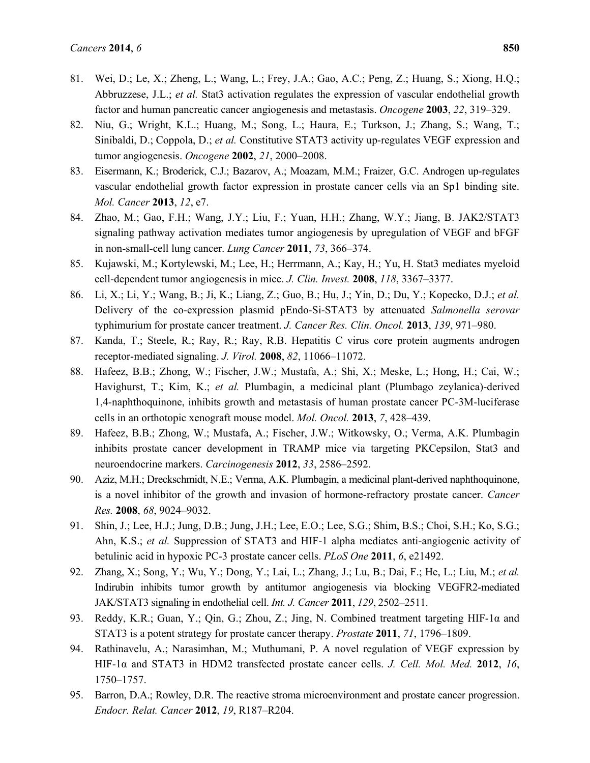- 81. Wei, D.; Le, X.; Zheng, L.; Wang, L.; Frey, J.A.; Gao, A.C.; Peng, Z.; Huang, S.; Xiong, H.Q.; Abbruzzese, J.L.; *et al.* Stat3 activation regulates the expression of vascular endothelial growth factor and human pancreatic cancer angiogenesis and metastasis. *Oncogene* **2003**, *22*, 319–329.
- 82. Niu, G.; Wright, K.L.; Huang, M.; Song, L.; Haura, E.; Turkson, J.; Zhang, S.; Wang, T.; Sinibaldi, D.; Coppola, D.; *et al.* Constitutive STAT3 activity up-regulates VEGF expression and tumor angiogenesis. *Oncogene* **2002**, *21*, 2000–2008.
- 83. Eisermann, K.; Broderick, C.J.; Bazarov, A.; Moazam, M.M.; Fraizer, G.C. Androgen up-regulates vascular endothelial growth factor expression in prostate cancer cells via an Sp1 binding site. *Mol. Cancer* **2013**, *12*, e7.
- 84. Zhao, M.; Gao, F.H.; Wang, J.Y.; Liu, F.; Yuan, H.H.; Zhang, W.Y.; Jiang, B. JAK2/STAT3 signaling pathway activation mediates tumor angiogenesis by upregulation of VEGF and bFGF in non-small-cell lung cancer. *Lung Cancer* **2011**, *73*, 366–374.
- 85. Kujawski, M.; Kortylewski, M.; Lee, H.; Herrmann, A.; Kay, H.; Yu, H. Stat3 mediates myeloid cell-dependent tumor angiogenesis in mice. *J. Clin. Invest.* **2008**, *118*, 3367–3377.
- 86. Li, X.; Li, Y.; Wang, B.; Ji, K.; Liang, Z.; Guo, B.; Hu, J.; Yin, D.; Du, Y.; Kopecko, D.J.; *et al.* Delivery of the co-expression plasmid pEndo-Si-STAT3 by attenuated *Salmonella serovar* typhimurium for prostate cancer treatment. *J. Cancer Res. Clin. Oncol.* **2013**, *139*, 971–980.
- 87. Kanda, T.; Steele, R.; Ray, R.; Ray, R.B. Hepatitis C virus core protein augments androgen receptor-mediated signaling. *J. Virol.* **2008**, *82*, 11066–11072.
- 88. Hafeez, B.B.; Zhong, W.; Fischer, J.W.; Mustafa, A.; Shi, X.; Meske, L.; Hong, H.; Cai, W.; Havighurst, T.; Kim, K.; *et al.* Plumbagin, a medicinal plant (Plumbago zeylanica)-derived 1,4-naphthoquinone, inhibits growth and metastasis of human prostate cancer PC-3M-luciferase cells in an orthotopic xenograft mouse model. *Mol. Oncol.* **2013**, *7*, 428–439.
- 89. Hafeez, B.B.; Zhong, W.; Mustafa, A.; Fischer, J.W.; Witkowsky, O.; Verma, A.K. Plumbagin inhibits prostate cancer development in TRAMP mice via targeting PKCepsilon, Stat3 and neuroendocrine markers. *Carcinogenesis* **2012**, *33*, 2586–2592.
- 90. Aziz, M.H.; Dreckschmidt, N.E.; Verma, A.K. Plumbagin, a medicinal plant-derived naphthoquinone, is a novel inhibitor of the growth and invasion of hormone-refractory prostate cancer. *Cancer Res.* **2008**, *68*, 9024–9032.
- 91. Shin, J.; Lee, H.J.; Jung, D.B.; Jung, J.H.; Lee, E.O.; Lee, S.G.; Shim, B.S.; Choi, S.H.; Ko, S.G.; Ahn, K.S.; *et al.* Suppression of STAT3 and HIF-1 alpha mediates anti-angiogenic activity of betulinic acid in hypoxic PC-3 prostate cancer cells. *PLoS One* **2011**, *6*, e21492.
- 92. Zhang, X.; Song, Y.; Wu, Y.; Dong, Y.; Lai, L.; Zhang, J.; Lu, B.; Dai, F.; He, L.; Liu, M.; *et al.* Indirubin inhibits tumor growth by antitumor angiogenesis via blocking VEGFR2-mediated JAK/STAT3 signaling in endothelial cell. *Int. J. Cancer* **2011**, *129*, 2502–2511.
- 93. Reddy, K.R.; Guan, Y.; Qin, G.; Zhou, Z.; Jing, N. Combined treatment targeting HIF-1α and STAT3 is a potent strategy for prostate cancer therapy. *Prostate* **2011**, *71*, 1796–1809.
- 94. Rathinavelu, A.; Narasimhan, M.; Muthumani, P. A novel regulation of VEGF expression by HIF-1α and STAT3 in HDM2 transfected prostate cancer cells. *J. Cell. Mol. Med.* **2012**, *16*, 1750–1757.
- 95. Barron, D.A.; Rowley, D.R. The reactive stroma microenvironment and prostate cancer progression. *Endocr. Relat. Cancer* **2012**, *19*, R187–R204.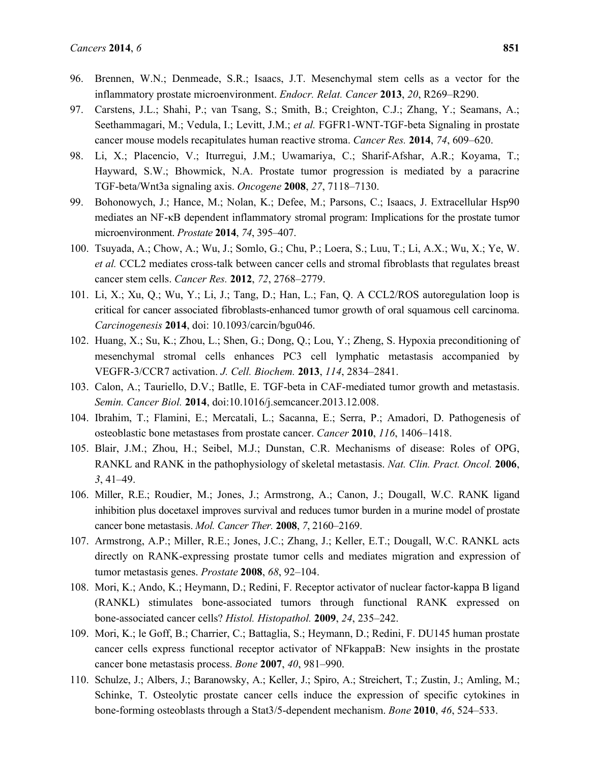- 96. Brennen, W.N.; Denmeade, S.R.; Isaacs, J.T. Mesenchymal stem cells as a vector for the inflammatory prostate microenvironment. *Endocr. Relat. Cancer* **2013**, *20*, R269–R290.
- 97. Carstens, J.L.; Shahi, P.; van Tsang, S.; Smith, B.; Creighton, C.J.; Zhang, Y.; Seamans, A.; Seethammagari, M.; Vedula, I.; Levitt, J.M.; *et al.* FGFR1-WNT-TGF-beta Signaling in prostate cancer mouse models recapitulates human reactive stroma. *Cancer Res.* **2014**, *74*, 609–620.
- 98. Li, X.; Placencio, V.; Iturregui, J.M.; Uwamariya, C.; Sharif-Afshar, A.R.; Koyama, T.; Hayward, S.W.; Bhowmick, N.A. Prostate tumor progression is mediated by a paracrine TGF-beta/Wnt3a signaling axis. *Oncogene* **2008**, *27*, 7118–7130.
- 99. Bohonowych, J.; Hance, M.; Nolan, K.; Defee, M.; Parsons, C.; Isaacs, J. Extracellular Hsp90 mediates an NF-κB dependent inflammatory stromal program: Implications for the prostate tumor microenvironment. *Prostate* **2014**, *74*, 395–407.
- 100. Tsuyada, A.; Chow, A.; Wu, J.; Somlo, G.; Chu, P.; Loera, S.; Luu, T.; Li, A.X.; Wu, X.; Ye, W. *et al.* CCL2 mediates cross-talk between cancer cells and stromal fibroblasts that regulates breast cancer stem cells. *Cancer Res.* **2012**, *72*, 2768–2779.
- 101. Li, X.; Xu, Q.; Wu, Y.; Li, J.; Tang, D.; Han, L.; Fan, Q. A CCL2/ROS autoregulation loop is critical for cancer associated fibroblasts-enhanced tumor growth of oral squamous cell carcinoma. *Carcinogenesis* **2014**, doi: 10.1093/carcin/bgu046.
- 102. Huang, X.; Su, K.; Zhou, L.; Shen, G.; Dong, Q.; Lou, Y.; Zheng, S. Hypoxia preconditioning of mesenchymal stromal cells enhances PC3 cell lymphatic metastasis accompanied by VEGFR-3/CCR7 activation. *J. Cell. Biochem.* **2013**, *114*, 2834–2841.
- 103. Calon, A.; Tauriello, D.V.; Batlle, E. TGF-beta in CAF-mediated tumor growth and metastasis. *Semin. Cancer Biol.* **2014**, doi:10.1016/j.semcancer.2013.12.008.
- 104. Ibrahim, T.; Flamini, E.; Mercatali, L.; Sacanna, E.; Serra, P.; Amadori, D. Pathogenesis of osteoblastic bone metastases from prostate cancer. *Cancer* **2010**, *116*, 1406–1418.
- 105. Blair, J.M.; Zhou, H.; Seibel, M.J.; Dunstan, C.R. Mechanisms of disease: Roles of OPG, RANKL and RANK in the pathophysiology of skeletal metastasis. *Nat. Clin. Pract. Oncol.* **2006**, *3*, 41–49.
- 106. Miller, R.E.; Roudier, M.; Jones, J.; Armstrong, A.; Canon, J.; Dougall, W.C. RANK ligand inhibition plus docetaxel improves survival and reduces tumor burden in a murine model of prostate cancer bone metastasis. *Mol. Cancer Ther.* **2008**, *7*, 2160–2169.
- 107. Armstrong, A.P.; Miller, R.E.; Jones, J.C.; Zhang, J.; Keller, E.T.; Dougall, W.C. RANKL acts directly on RANK-expressing prostate tumor cells and mediates migration and expression of tumor metastasis genes. *Prostate* **2008**, *68*, 92–104.
- 108. Mori, K.; Ando, K.; Heymann, D.; Redini, F. Receptor activator of nuclear factor-kappa B ligand (RANKL) stimulates bone-associated tumors through functional RANK expressed on bone-associated cancer cells? *Histol. Histopathol.* **2009**, *24*, 235–242.
- 109. Mori, K.; le Goff, B.; Charrier, C.; Battaglia, S.; Heymann, D.; Redini, F. DU145 human prostate cancer cells express functional receptor activator of NFkappaB: New insights in the prostate cancer bone metastasis process. *Bone* **2007**, *40*, 981–990.
- 110. Schulze, J.; Albers, J.; Baranowsky, A.; Keller, J.; Spiro, A.; Streichert, T.; Zustin, J.; Amling, M.; Schinke, T. Osteolytic prostate cancer cells induce the expression of specific cytokines in bone-forming osteoblasts through a Stat3/5-dependent mechanism. *Bone* **2010**, *46*, 524–533.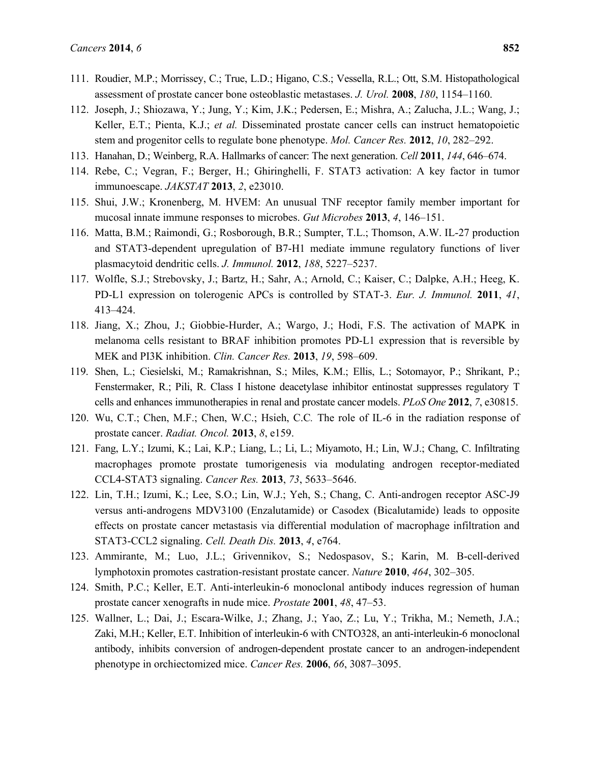- 111. Roudier, M.P.; Morrissey, C.; True, L.D.; Higano, C.S.; Vessella, R.L.; Ott, S.M. Histopathological assessment of prostate cancer bone osteoblastic metastases. *J. Urol.* **2008**, *180*, 1154–1160.
- 112. Joseph, J.; Shiozawa, Y.; Jung, Y.; Kim, J.K.; Pedersen, E.; Mishra, A.; Zalucha, J.L.; Wang, J.; Keller, E.T.; Pienta, K.J.; *et al.* Disseminated prostate cancer cells can instruct hematopoietic stem and progenitor cells to regulate bone phenotype. *Mol. Cancer Res.* **2012**, *10*, 282–292.
- 113. Hanahan, D.; Weinberg, R.A. Hallmarks of cancer: The next generation. *Cell* **2011**, *144*, 646–674.
- 114. Rebe, C.; Vegran, F.; Berger, H.; Ghiringhelli, F. STAT3 activation: A key factor in tumor immunoescape. *JAKSTAT* **2013**, *2*, e23010.
- 115. Shui, J.W.; Kronenberg, M. HVEM: An unusual TNF receptor family member important for mucosal innate immune responses to microbes. *Gut Microbes* **2013**, *4*, 146–151.
- 116. Matta, B.M.; Raimondi, G.; Rosborough, B.R.; Sumpter, T.L.; Thomson, A.W. IL-27 production and STAT3-dependent upregulation of B7-H1 mediate immune regulatory functions of liver plasmacytoid dendritic cells. *J. Immunol.* **2012**, *188*, 5227–5237.
- 117. Wolfle, S.J.; Strebovsky, J.; Bartz, H.; Sahr, A.; Arnold, C.; Kaiser, C.; Dalpke, A.H.; Heeg, K. PD-L1 expression on tolerogenic APCs is controlled by STAT-3. *Eur. J. Immunol.* **2011**, *41*, 413–424.
- 118. Jiang, X.; Zhou, J.; Giobbie-Hurder, A.; Wargo, J.; Hodi, F.S. The activation of MAPK in melanoma cells resistant to BRAF inhibition promotes PD-L1 expression that is reversible by MEK and PI3K inhibition. *Clin. Cancer Res.* **2013**, *19*, 598–609.
- 119. Shen, L.; Ciesielski, M.; Ramakrishnan, S.; Miles, K.M.; Ellis, L.; Sotomayor, P.; Shrikant, P.; Fenstermaker, R.; Pili, R. Class I histone deacetylase inhibitor entinostat suppresses regulatory T cells and enhances immunotherapies in renal and prostate cancer models. *PLoS One* **2012**, *7*, e30815.
- 120. Wu, C.T.; Chen, M.F.; Chen, W.C.; Hsieh, C.C*.* The role of IL-6 in the radiation response of prostate cancer. *Radiat. Oncol.* **2013**, *8*, e159.
- 121. Fang, L.Y.; Izumi, K.; Lai, K.P.; Liang, L.; Li, L.; Miyamoto, H.; Lin, W.J.; Chang, C. Infiltrating macrophages promote prostate tumorigenesis via modulating androgen receptor-mediated CCL4-STAT3 signaling. *Cancer Res.* **2013**, *73*, 5633–5646.
- 122. Lin, T.H.; Izumi, K.; Lee, S.O.; Lin, W.J.; Yeh, S.; Chang, C. Anti-androgen receptor ASC-J9 versus anti-androgens MDV3100 (Enzalutamide) or Casodex (Bicalutamide) leads to opposite effects on prostate cancer metastasis via differential modulation of macrophage infiltration and STAT3-CCL2 signaling. *Cell. Death Dis.* **2013**, *4*, e764.
- 123. Ammirante, M.; Luo, J.L.; Grivennikov, S.; Nedospasov, S.; Karin, M. B-cell-derived lymphotoxin promotes castration-resistant prostate cancer. *Nature* **2010**, *464*, 302–305.
- 124. Smith, P.C.; Keller, E.T. Anti-interleukin-6 monoclonal antibody induces regression of human prostate cancer xenografts in nude mice. *Prostate* **2001**, *48*, 47–53.
- 125. Wallner, L.; Dai, J.; Escara-Wilke, J.; Zhang, J.; Yao, Z.; Lu, Y.; Trikha, M.; Nemeth, J.A.; Zaki, M.H.; Keller, E.T. Inhibition of interleukin-6 with CNTO328, an anti-interleukin-6 monoclonal antibody, inhibits conversion of androgen-dependent prostate cancer to an androgen-independent phenotype in orchiectomized mice. *Cancer Res.* **2006**, *66*, 3087–3095.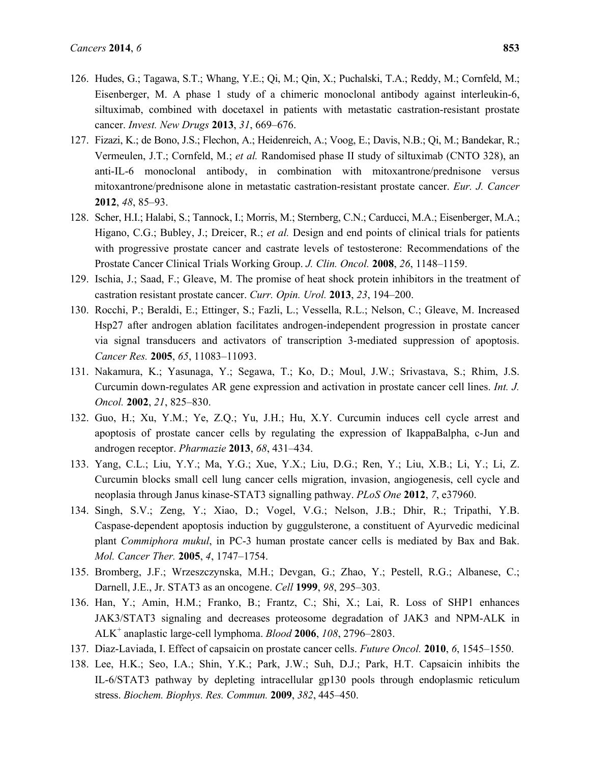- 126. Hudes, G.; Tagawa, S.T.; Whang, Y.E.; Qi, M.; Qin, X.; Puchalski, T.A.; Reddy, M.; Cornfeld, M.; Eisenberger, M. A phase 1 study of a chimeric monoclonal antibody against interleukin-6, siltuximab, combined with docetaxel in patients with metastatic castration-resistant prostate cancer. *Invest. New Drugs* **2013**, *31*, 669–676.
- 127. Fizazi, K.; de Bono, J.S.; Flechon, A.; Heidenreich, A.; Voog, E.; Davis, N.B.; Qi, M.; Bandekar, R.; Vermeulen, J.T.; Cornfeld, M.; *et al.* Randomised phase II study of siltuximab (CNTO 328), an anti-IL-6 monoclonal antibody, in combination with mitoxantrone/prednisone versus mitoxantrone/prednisone alone in metastatic castration-resistant prostate cancer. *Eur. J. Cancer* **2012**, *48*, 85–93.
- 128. Scher, H.I.; Halabi, S.; Tannock, I.; Morris, M.; Sternberg, C.N.; Carducci, M.A.; Eisenberger, M.A.; Higano, C.G.; Bubley, J.; Dreicer, R.; *et al.* Design and end points of clinical trials for patients with progressive prostate cancer and castrate levels of testosterone: Recommendations of the Prostate Cancer Clinical Trials Working Group. *J. Clin. Oncol.* **2008**, *26*, 1148–1159.
- 129. Ischia, J.; Saad, F.; Gleave, M. The promise of heat shock protein inhibitors in the treatment of castration resistant prostate cancer. *Curr. Opin. Urol.* **2013**, *23*, 194–200.
- 130. Rocchi, P.; Beraldi, E.; Ettinger, S.; Fazli, L.; Vessella, R.L.; Nelson, C.; Gleave, M. Increased Hsp27 after androgen ablation facilitates androgen-independent progression in prostate cancer via signal transducers and activators of transcription 3-mediated suppression of apoptosis. *Cancer Res.* **2005**, *65*, 11083–11093.
- 131. Nakamura, K.; Yasunaga, Y.; Segawa, T.; Ko, D.; Moul, J.W.; Srivastava, S.; Rhim, J.S. Curcumin down-regulates AR gene expression and activation in prostate cancer cell lines. *Int. J. Oncol.* **2002**, *21*, 825–830.
- 132. Guo, H.; Xu, Y.M.; Ye, Z.Q.; Yu, J.H.; Hu, X.Y. Curcumin induces cell cycle arrest and apoptosis of prostate cancer cells by regulating the expression of IkappaBalpha, c-Jun and androgen receptor. *Pharmazie* **2013**, *68*, 431–434.
- 133. Yang, C.L.; Liu, Y.Y.; Ma, Y.G.; Xue, Y.X.; Liu, D.G.; Ren, Y.; Liu, X.B.; Li, Y.; Li, Z. Curcumin blocks small cell lung cancer cells migration, invasion, angiogenesis, cell cycle and neoplasia through Janus kinase-STAT3 signalling pathway. *PLoS One* **2012**, *7*, e37960.
- 134. Singh, S.V.; Zeng, Y.; Xiao, D.; Vogel, V.G.; Nelson, J.B.; Dhir, R.; Tripathi, Y.B. Caspase-dependent apoptosis induction by guggulsterone, a constituent of Ayurvedic medicinal plant *Commiphora mukul*, in PC-3 human prostate cancer cells is mediated by Bax and Bak. *Mol. Cancer Ther.* **2005**, *4*, 1747–1754.
- 135. Bromberg, J.F.; Wrzeszczynska, M.H.; Devgan, G.; Zhao, Y.; Pestell, R.G.; Albanese, C.; Darnell, J.E., Jr. STAT3 as an oncogene. *Cell* **1999**, *98*, 295–303.
- 136. Han, Y.; Amin, H.M.; Franko, B.; Frantz, C.; Shi, X.; Lai, R. Loss of SHP1 enhances JAK3/STAT3 signaling and decreases proteosome degradation of JAK3 and NPM-ALK in ALK<sup>+</sup> anaplastic large-cell lymphoma. *Blood* **2006**, *108*, 2796–2803.
- 137. Diaz-Laviada, I. Effect of capsaicin on prostate cancer cells. *Future Oncol.* **2010**, *6*, 1545–1550.
- 138. Lee, H.K.; Seo, I.A.; Shin, Y.K.; Park, J.W.; Suh, D.J.; Park, H.T. Capsaicin inhibits the IL-6/STAT3 pathway by depleting intracellular gp130 pools through endoplasmic reticulum stress. *Biochem. Biophys. Res. Commun.* **2009**, *382*, 445–450.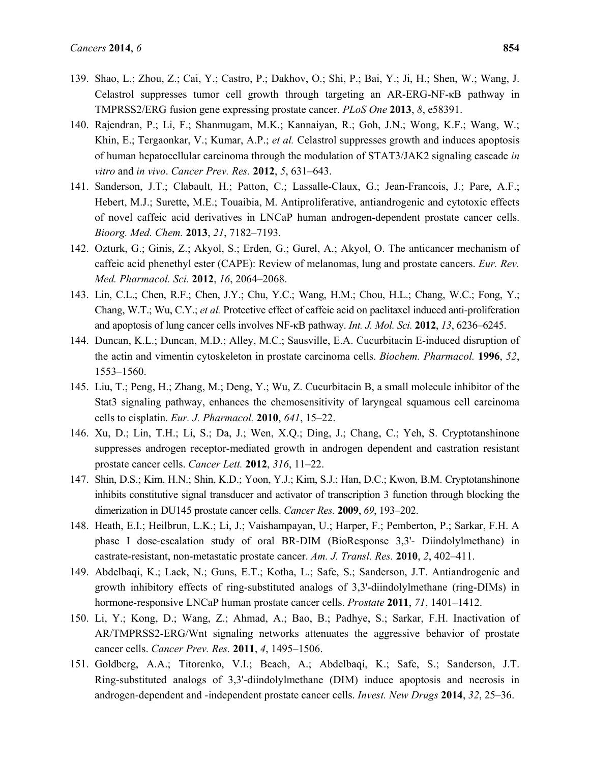- 139. Shao, L.; Zhou, Z.; Cai, Y.; Castro, P.; Dakhov, O.; Shi, P.; Bai, Y.; Ji, H.; Shen, W.; Wang, J. Celastrol suppresses tumor cell growth through targeting an AR-ERG-NF-κB pathway in TMPRSS2/ERG fusion gene expressing prostate cancer. *PLoS One* **2013**, *8*, e58391.
- 140. Rajendran, P.; Li, F.; Shanmugam, M.K.; Kannaiyan, R.; Goh, J.N.; Wong, K.F.; Wang, W.; Khin, E.; Tergaonkar, V.; Kumar, A.P.; *et al.* Celastrol suppresses growth and induces apoptosis of human hepatocellular carcinoma through the modulation of STAT3/JAK2 signaling cascade *in vitro* and *in vivo*. *Cancer Prev. Res.* **2012**, *5*, 631–643.
- 141. Sanderson, J.T.; Clabault, H.; Patton, C.; Lassalle-Claux, G.; Jean-Francois, J.; Pare, A.F.; Hebert, M.J.; Surette, M.E.; Touaibia, M. Antiproliferative, antiandrogenic and cytotoxic effects of novel caffeic acid derivatives in LNCaP human androgen-dependent prostate cancer cells. *Bioorg. Med. Chem.* **2013**, *21*, 7182–7193.
- 142. Ozturk, G.; Ginis, Z.; Akyol, S.; Erden, G.; Gurel, A.; Akyol, O. The anticancer mechanism of caffeic acid phenethyl ester (CAPE): Review of melanomas, lung and prostate cancers. *Eur. Rev. Med. Pharmacol. Sci.* **2012**, *16*, 2064–2068.
- 143. Lin, C.L.; Chen, R.F.; Chen, J.Y.; Chu, Y.C.; Wang, H.M.; Chou, H.L.; Chang, W.C.; Fong, Y.; Chang, W.T.; Wu, C.Y.; *et al.* Protective effect of caffeic acid on paclitaxel induced anti-proliferation and apoptosis of lung cancer cells involves NF-κB pathway. *Int. J. Mol. Sci.* **2012**, *13*, 6236–6245.
- 144. Duncan, K.L.; Duncan, M.D.; Alley, M.C.; Sausville, E.A. Cucurbitacin E-induced disruption of the actin and vimentin cytoskeleton in prostate carcinoma cells. *Biochem. Pharmacol.* **1996**, *52*, 1553–1560.
- 145. Liu, T.; Peng, H.; Zhang, M.; Deng, Y.; Wu, Z. Cucurbitacin B, a small molecule inhibitor of the Stat3 signaling pathway, enhances the chemosensitivity of laryngeal squamous cell carcinoma cells to cisplatin. *Eur. J. Pharmacol.* **2010**, *641*, 15–22.
- 146. Xu, D.; Lin, T.H.; Li, S.; Da, J.; Wen, X.Q.; Ding, J.; Chang, C.; Yeh, S. Cryptotanshinone suppresses androgen receptor-mediated growth in androgen dependent and castration resistant prostate cancer cells. *Cancer Lett.* **2012**, *316*, 11–22.
- 147. Shin, D.S.; Kim, H.N.; Shin, K.D.; Yoon, Y.J.; Kim, S.J.; Han, D.C.; Kwon, B.M. Cryptotanshinone inhibits constitutive signal transducer and activator of transcription 3 function through blocking the dimerization in DU145 prostate cancer cells. *Cancer Res.* **2009**, *69*, 193–202.
- 148. Heath, E.I.; Heilbrun, L.K.; Li, J.; Vaishampayan, U.; Harper, F.; Pemberton, P.; Sarkar, F.H. A phase I dose-escalation study of oral BR-DIM (BioResponse 3,3'- Diindolylmethane) in castrate-resistant, non-metastatic prostate cancer. *Am. J. Transl. Res.* **2010**, *2*, 402–411.
- 149. Abdelbaqi, K.; Lack, N.; Guns, E.T.; Kotha, L.; Safe, S.; Sanderson, J.T. Antiandrogenic and growth inhibitory effects of ring-substituted analogs of 3,3'-diindolylmethane (ring-DIMs) in hormone-responsive LNCaP human prostate cancer cells. *Prostate* **2011**, *71*, 1401–1412.
- 150. Li, Y.; Kong, D.; Wang, Z.; Ahmad, A.; Bao, B.; Padhye, S.; Sarkar, F.H. Inactivation of AR/TMPRSS2-ERG/Wnt signaling networks attenuates the aggressive behavior of prostate cancer cells. *Cancer Prev. Res.* **2011**, *4*, 1495–1506.
- 151. Goldberg, A.A.; Titorenko, V.I.; Beach, A.; Abdelbaqi, K.; Safe, S.; Sanderson, J.T. Ring-substituted analogs of 3,3'-diindolylmethane (DIM) induce apoptosis and necrosis in androgen-dependent and -independent prostate cancer cells. *Invest. New Drugs* **2014**, *32*, 25–36.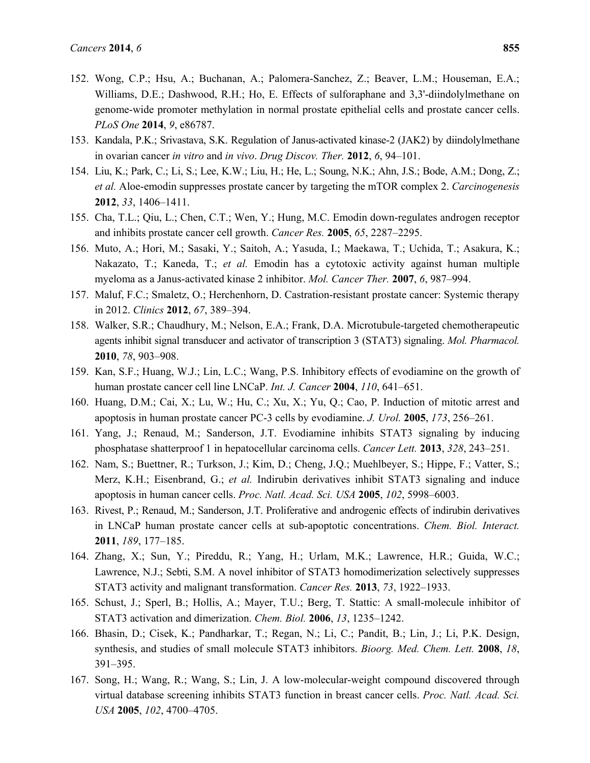- 152. Wong, C.P.; Hsu, A.; Buchanan, A.; Palomera-Sanchez, Z.; Beaver, L.M.; Houseman, E.A.; Williams, D.E.; Dashwood, R.H.; Ho, E. Effects of sulforaphane and 3,3'-diindolylmethane on genome-wide promoter methylation in normal prostate epithelial cells and prostate cancer cells. *PLoS One* **2014**, *9*, e86787.
- 153. Kandala, P.K.; Srivastava, S.K. Regulation of Janus-activated kinase-2 (JAK2) by diindolylmethane in ovarian cancer *in vitro* and *in vivo*. *Drug Discov. Ther.* **2012**, *6*, 94–101.
- 154. Liu, K.; Park, C.; Li, S.; Lee, K.W.; Liu, H.; He, L.; Soung, N.K.; Ahn, J.S.; Bode, A.M.; Dong, Z.; *et al.* Aloe-emodin suppresses prostate cancer by targeting the mTOR complex 2. *Carcinogenesis* **2012**, *33*, 1406–1411.
- 155. Cha, T.L.; Qiu, L.; Chen, C.T.; Wen, Y.; Hung, M.C. Emodin down-regulates androgen receptor and inhibits prostate cancer cell growth. *Cancer Res.* **2005**, *65*, 2287–2295.
- 156. Muto, A.; Hori, M.; Sasaki, Y.; Saitoh, A.; Yasuda, I.; Maekawa, T.; Uchida, T.; Asakura, K.; Nakazato, T.; Kaneda, T.; *et al.* Emodin has a cytotoxic activity against human multiple myeloma as a Janus-activated kinase 2 inhibitor. *Mol. Cancer Ther.* **2007**, *6*, 987–994.
- 157. Maluf, F.C.; Smaletz, O.; Herchenhorn, D. Castration-resistant prostate cancer: Systemic therapy in 2012. *Clinics* **2012**, *67*, 389–394.
- 158. Walker, S.R.; Chaudhury, M.; Nelson, E.A.; Frank, D.A. Microtubule-targeted chemotherapeutic agents inhibit signal transducer and activator of transcription 3 (STAT3) signaling. *Mol. Pharmacol.* **2010**, *78*, 903–908.
- 159. Kan, S.F.; Huang, W.J.; Lin, L.C.; Wang, P.S. Inhibitory effects of evodiamine on the growth of human prostate cancer cell line LNCaP. *Int. J. Cancer* **2004**, *110*, 641–651.
- 160. Huang, D.M.; Cai, X.; Lu, W.; Hu, C.; Xu, X.; Yu, Q.; Cao, P. Induction of mitotic arrest and apoptosis in human prostate cancer PC-3 cells by evodiamine. *J. Urol.* **2005**, *173*, 256–261.
- 161. Yang, J.; Renaud, M.; Sanderson, J.T. Evodiamine inhibits STAT3 signaling by inducing phosphatase shatterproof 1 in hepatocellular carcinoma cells. *Cancer Lett.* **2013**, *328*, 243–251.
- 162. Nam, S.; Buettner, R.; Turkson, J.; Kim, D.; Cheng, J.Q.; Muehlbeyer, S.; Hippe, F.; Vatter, S.; Merz, K.H.; Eisenbrand, G.; *et al.* Indirubin derivatives inhibit STAT3 signaling and induce apoptosis in human cancer cells. *Proc. Natl. Acad. Sci. USA* **2005**, *102*, 5998–6003.
- 163. Rivest, P.; Renaud, M.; Sanderson, J.T. Proliferative and androgenic effects of indirubin derivatives in LNCaP human prostate cancer cells at sub-apoptotic concentrations. *Chem. Biol. Interact.* **2011**, *189*, 177–185.
- 164. Zhang, X.; Sun, Y.; Pireddu, R.; Yang, H.; Urlam, M.K.; Lawrence, H.R.; Guida, W.C.; Lawrence, N.J.; Sebti, S.M. A novel inhibitor of STAT3 homodimerization selectively suppresses STAT3 activity and malignant transformation. *Cancer Res.* **2013**, *73*, 1922–1933.
- 165. Schust, J.; Sperl, B.; Hollis, A.; Mayer, T.U.; Berg, T. Stattic: A small-molecule inhibitor of STAT3 activation and dimerization. *Chem. Biol.* **2006**, *13*, 1235–1242.
- 166. Bhasin, D.; Cisek, K.; Pandharkar, T.; Regan, N.; Li, C.; Pandit, B.; Lin, J.; Li, P.K. Design, synthesis, and studies of small molecule STAT3 inhibitors. *Bioorg. Med. Chem. Lett.* **2008**, *18*, 391–395.
- 167. Song, H.; Wang, R.; Wang, S.; Lin, J. A low-molecular-weight compound discovered through virtual database screening inhibits STAT3 function in breast cancer cells. *Proc. Natl. Acad. Sci. USA* **2005**, *102*, 4700–4705.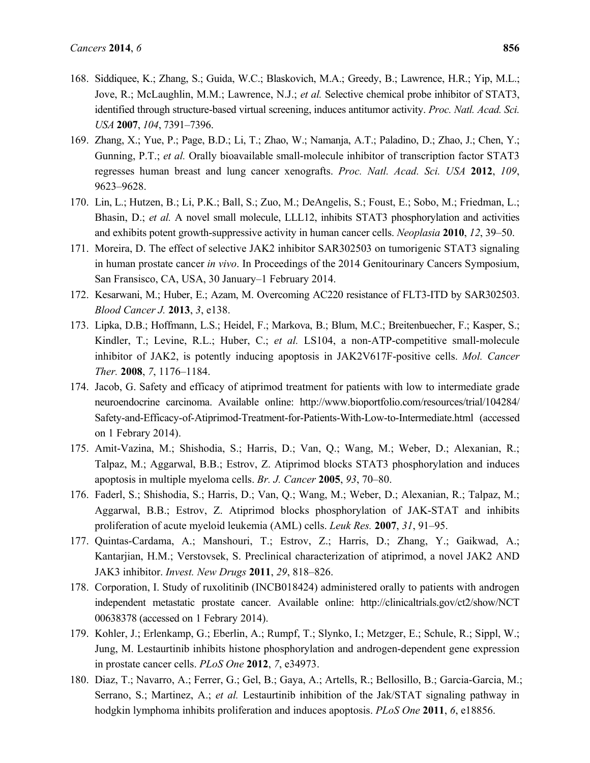- 168. Siddiquee, K.; Zhang, S.; Guida, W.C.; Blaskovich, M.A.; Greedy, B.; Lawrence, H.R.; Yip, M.L.; Jove, R.; McLaughlin, M.M.; Lawrence, N.J.; *et al.* Selective chemical probe inhibitor of STAT3, identified through structure-based virtual screening, induces antitumor activity. *Proc. Natl. Acad. Sci. USA* **2007**, *104*, 7391–7396.
- 169. Zhang, X.; Yue, P.; Page, B.D.; Li, T.; Zhao, W.; Namanja, A.T.; Paladino, D.; Zhao, J.; Chen, Y.; Gunning, P.T.; *et al.* Orally bioavailable small-molecule inhibitor of transcription factor STAT3 regresses human breast and lung cancer xenografts. *Proc. Natl. Acad. Sci. USA* **2012**, *109*, 9623–9628.
- 170. Lin, L.; Hutzen, B.; Li, P.K.; Ball, S.; Zuo, M.; DeAngelis, S.; Foust, E.; Sobo, M.; Friedman, L.; Bhasin, D.; *et al.* A novel small molecule, LLL12, inhibits STAT3 phosphorylation and activities and exhibits potent growth-suppressive activity in human cancer cells. *Neoplasia* **2010**, *12*, 39–50.
- 171. Moreira, D. The effect of selective JAK2 inhibitor SAR302503 on tumorigenic STAT3 signaling in human prostate cancer *in vivo*. In Proceedings of the 2014 Genitourinary Cancers Symposium, San Fransisco, CA, USA, 30 January–1 February 2014.
- 172. Kesarwani, M.; Huber, E.; Azam, M. Overcoming AC220 resistance of FLT3-ITD by SAR302503. *Blood Cancer J.* **2013**, *3*, e138.
- 173. Lipka, D.B.; Hoffmann, L.S.; Heidel, F.; Markova, B.; Blum, M.C.; Breitenbuecher, F.; Kasper, S.; Kindler, T.; Levine, R.L.; Huber, C.; *et al.* LS104, a non-ATP-competitive small-molecule inhibitor of JAK2, is potently inducing apoptosis in JAK2V617F-positive cells. *Mol. Cancer Ther.* **2008**, *7*, 1176–1184.
- 174. Jacob, G. Safety and efficacy of atiprimod treatment for patients with low to intermediate grade neuroendocrine carcinoma. Available online: http://www.bioportfolio.com/resources/trial/104284/ Safety-and-Efficacy-of-Atiprimod-Treatment-for-Patients-With-Low-to-Intermediate.html (accessed on 1 Febrary 2014).
- 175. Amit-Vazina, M.; Shishodia, S.; Harris, D.; Van, Q.; Wang, M.; Weber, D.; Alexanian, R.; Talpaz, M.; Aggarwal, B.B.; Estrov, Z. Atiprimod blocks STAT3 phosphorylation and induces apoptosis in multiple myeloma cells. *Br. J. Cancer* **2005**, *93*, 70–80.
- 176. Faderl, S.; Shishodia, S.; Harris, D.; Van, Q.; Wang, M.; Weber, D.; Alexanian, R.; Talpaz, M.; Aggarwal, B.B.; Estrov, Z. Atiprimod blocks phosphorylation of JAK-STAT and inhibits proliferation of acute myeloid leukemia (AML) cells. *Leuk Res.* **2007**, *31*, 91–95.
- 177. Quintas-Cardama, A.; Manshouri, T.; Estrov, Z.; Harris, D.; Zhang, Y.; Gaikwad, A.; Kantarjian, H.M.; Verstovsek, S. Preclinical characterization of atiprimod, a novel JAK2 AND JAK3 inhibitor. *Invest. New Drugs* **2011**, *29*, 818–826.
- 178. Corporation, I. Study of ruxolitinib (INCB018424) administered orally to patients with androgen independent metastatic prostate cancer. Available online: http://clinicaltrials.gov/ct2/show/NCT 00638378 (accessed on 1 Febrary 2014).
- 179. Kohler, J.; Erlenkamp, G.; Eberlin, A.; Rumpf, T.; Slynko, I.; Metzger, E.; Schule, R.; Sippl, W.; Jung, M. Lestaurtinib inhibits histone phosphorylation and androgen-dependent gene expression in prostate cancer cells. *PLoS One* **2012**, *7*, e34973.
- 180. Diaz, T.; Navarro, A.; Ferrer, G.; Gel, B.; Gaya, A.; Artells, R.; Bellosillo, B.; Garcia-Garcia, M.; Serrano, S.; Martinez, A.; *et al.* Lestaurtinib inhibition of the Jak/STAT signaling pathway in hodgkin lymphoma inhibits proliferation and induces apoptosis. *PLoS One* **2011**, *6*, e18856.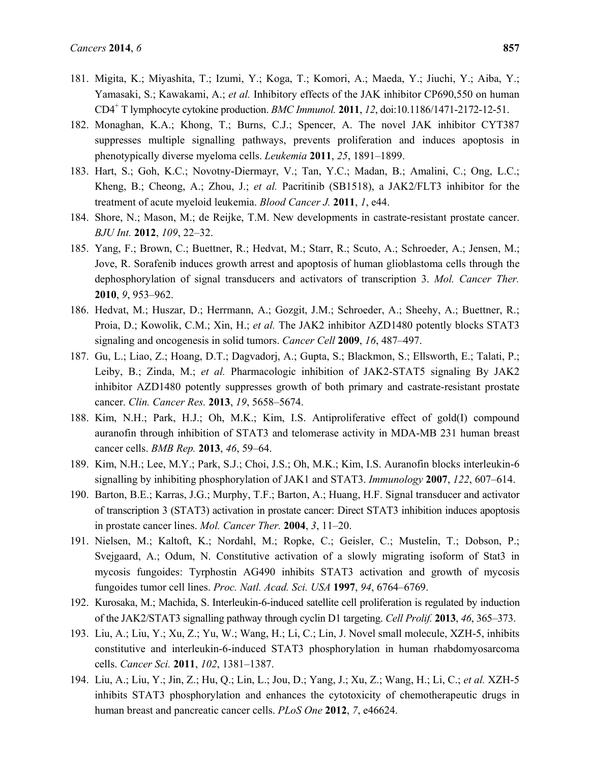- 181. Migita, K.; Miyashita, T.; Izumi, Y.; Koga, T.; Komori, A.; Maeda, Y.; Jiuchi, Y.; Aiba, Y.; Yamasaki, S.; Kawakami, A.; *et al.* Inhibitory effects of the JAK inhibitor CP690,550 on human CD4+ T lymphocyte cytokine production. *BMC Immunol.* **2011**, *12*, doi:10.1186/1471-2172-12-51.
- 182. Monaghan, K.A.; Khong, T.; Burns, C.J.; Spencer, A. The novel JAK inhibitor CYT387 suppresses multiple signalling pathways, prevents proliferation and induces apoptosis in phenotypically diverse myeloma cells. *Leukemia* **2011**, *25*, 1891–1899.
- 183. Hart, S.; Goh, K.C.; Novotny-Diermayr, V.; Tan, Y.C.; Madan, B.; Amalini, C.; Ong, L.C.; Kheng, B.; Cheong, A.; Zhou, J.; *et al.* Pacritinib (SB1518), a JAK2/FLT3 inhibitor for the treatment of acute myeloid leukemia. *Blood Cancer J.* **2011**, *1*, e44.
- 184. Shore, N.; Mason, M.; de Reijke, T.M. New developments in castrate-resistant prostate cancer. *BJU Int.* **2012**, *109*, 22–32.
- 185. Yang, F.; Brown, C.; Buettner, R.; Hedvat, M.; Starr, R.; Scuto, A.; Schroeder, A.; Jensen, M.; Jove, R. Sorafenib induces growth arrest and apoptosis of human glioblastoma cells through the dephosphorylation of signal transducers and activators of transcription 3. *Mol. Cancer Ther.* **2010**, *9*, 953–962.
- 186. Hedvat, M.; Huszar, D.; Herrmann, A.; Gozgit, J.M.; Schroeder, A.; Sheehy, A.; Buettner, R.; Proia, D.; Kowolik, C.M.; Xin, H.; *et al.* The JAK2 inhibitor AZD1480 potently blocks STAT3 signaling and oncogenesis in solid tumors. *Cancer Cell* **2009**, *16*, 487–497.
- 187. Gu, L.; Liao, Z.; Hoang, D.T.; Dagvadorj, A.; Gupta, S.; Blackmon, S.; Ellsworth, E.; Talati, P.; Leiby, B.; Zinda, M.; *et al.* Pharmacologic inhibition of JAK2-STAT5 signaling By JAK2 inhibitor AZD1480 potently suppresses growth of both primary and castrate-resistant prostate cancer. *Clin. Cancer Res.* **2013**, *19*, 5658–5674.
- 188. Kim, N.H.; Park, H.J.; Oh, M.K.; Kim, I.S. Antiproliferative effect of gold(I) compound auranofin through inhibition of STAT3 and telomerase activity in MDA-MB 231 human breast cancer cells. *BMB Rep.* **2013**, *46*, 59–64.
- 189. Kim, N.H.; Lee, M.Y.; Park, S.J.; Choi, J.S.; Oh, M.K.; Kim, I.S. Auranofin blocks interleukin-6 signalling by inhibiting phosphorylation of JAK1 and STAT3. *Immunology* **2007**, *122*, 607–614.
- 190. Barton, B.E.; Karras, J.G.; Murphy, T.F.; Barton, A.; Huang, H.F. Signal transducer and activator of transcription 3 (STAT3) activation in prostate cancer: Direct STAT3 inhibition induces apoptosis in prostate cancer lines. *Mol. Cancer Ther.* **2004**, *3*, 11–20.
- 191. Nielsen, M.; Kaltoft, K.; Nordahl, M.; Ropke, C.; Geisler, C.; Mustelin, T.; Dobson, P.; Svejgaard, A.; Odum, N. Constitutive activation of a slowly migrating isoform of Stat3 in mycosis fungoides: Tyrphostin AG490 inhibits STAT3 activation and growth of mycosis fungoides tumor cell lines. *Proc. Natl. Acad. Sci. USA* **1997**, *94*, 6764–6769.
- 192. Kurosaka, M.; Machida, S. Interleukin-6-induced satellite cell proliferation is regulated by induction of the JAK2/STAT3 signalling pathway through cyclin D1 targeting. *Cell Prolif.* **2013**, *46*, 365–373.
- 193. Liu, A.; Liu, Y.; Xu, Z.; Yu, W.; Wang, H.; Li, C.; Lin, J. Novel small molecule, XZH-5, inhibits constitutive and interleukin-6-induced STAT3 phosphorylation in human rhabdomyosarcoma cells. *Cancer Sci.* **2011**, *102*, 1381–1387.
- 194. Liu, A.; Liu, Y.; Jin, Z.; Hu, Q.; Lin, L.; Jou, D.; Yang, J.; Xu, Z.; Wang, H.; Li, C.; *et al.* XZH-5 inhibits STAT3 phosphorylation and enhances the cytotoxicity of chemotherapeutic drugs in human breast and pancreatic cancer cells. *PLoS One* **2012**, *7*, e46624.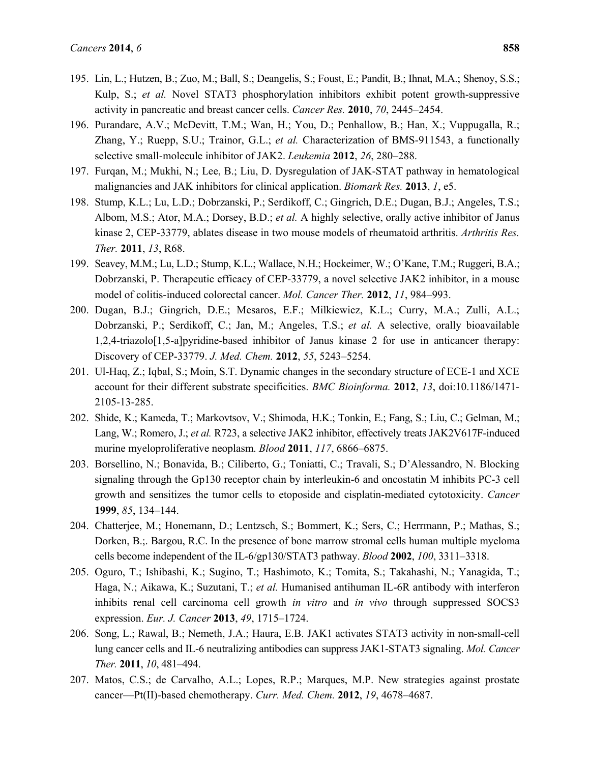- 195. Lin, L.; Hutzen, B.; Zuo, M.; Ball, S.; Deangelis, S.; Foust, E.; Pandit, B.; Ihnat, M.A.; Shenoy, S.S.; Kulp, S.; *et al.* Novel STAT3 phosphorylation inhibitors exhibit potent growth-suppressive activity in pancreatic and breast cancer cells. *Cancer Res.* **2010**, *70*, 2445–2454.
- 196. Purandare, A.V.; McDevitt, T.M.; Wan, H.; You, D.; Penhallow, B.; Han, X.; Vuppugalla, R.; Zhang, Y.; Ruepp, S.U.; Trainor, G.L.; *et al.* Characterization of BMS-911543, a functionally selective small-molecule inhibitor of JAK2. *Leukemia* **2012**, *26*, 280–288.
- 197. Furqan, M.; Mukhi, N.; Lee, B.; Liu, D. Dysregulation of JAK-STAT pathway in hematological malignancies and JAK inhibitors for clinical application. *Biomark Res.* **2013**, *1*, e5.
- 198. Stump, K.L.; Lu, L.D.; Dobrzanski, P.; Serdikoff, C.; Gingrich, D.E.; Dugan, B.J.; Angeles, T.S.; Albom, M.S.; Ator, M.A.; Dorsey, B.D.; *et al.* A highly selective, orally active inhibitor of Janus kinase 2, CEP-33779, ablates disease in two mouse models of rheumatoid arthritis. *Arthritis Res. Ther.* **2011**, *13*, R68.
- 199. Seavey, M.M.; Lu, L.D.; Stump, K.L.; Wallace, N.H.; Hockeimer, W.; O'Kane, T.M.; Ruggeri, B.A.; Dobrzanski, P. Therapeutic efficacy of CEP-33779, a novel selective JAK2 inhibitor, in a mouse model of colitis-induced colorectal cancer. *Mol. Cancer Ther.* **2012**, *11*, 984–993.
- 200. Dugan, B.J.; Gingrich, D.E.; Mesaros, E.F.; Milkiewicz, K.L.; Curry, M.A.; Zulli, A.L.; Dobrzanski, P.; Serdikoff, C.; Jan, M.; Angeles, T.S.; *et al.* A selective, orally bioavailable 1,2,4-triazolo[1,5-a]pyridine-based inhibitor of Janus kinase 2 for use in anticancer therapy: Discovery of CEP-33779. *J. Med. Chem.* **2012**, *55*, 5243–5254.
- 201. Ul-Haq, Z.; Iqbal, S.; Moin, S.T. Dynamic changes in the secondary structure of ECE-1 and XCE account for their different substrate specificities. *BMC Bioinforma.* **2012**, *13*, doi:10.1186/1471- 2105-13-285.
- 202. Shide, K.; Kameda, T.; Markovtsov, V.; Shimoda, H.K.; Tonkin, E.; Fang, S.; Liu, C.; Gelman, M.; Lang, W.; Romero, J.; *et al.* R723, a selective JAK2 inhibitor, effectively treats JAK2V617F-induced murine myeloproliferative neoplasm. *Blood* **2011**, *117*, 6866–6875.
- 203. Borsellino, N.; Bonavida, B.; Ciliberto, G.; Toniatti, C.; Travali, S.; D'Alessandro, N. Blocking signaling through the Gp130 receptor chain by interleukin-6 and oncostatin M inhibits PC-3 cell growth and sensitizes the tumor cells to etoposide and cisplatin-mediated cytotoxicity. *Cancer* **1999**, *85*, 134–144.
- 204. Chatterjee, M.; Honemann, D.; Lentzsch, S.; Bommert, K.; Sers, C.; Herrmann, P.; Mathas, S.; Dorken, B.;. Bargou, R.C. In the presence of bone marrow stromal cells human multiple myeloma cells become independent of the IL-6/gp130/STAT3 pathway. *Blood* **2002**, *100*, 3311–3318.
- 205. Oguro, T.; Ishibashi, K.; Sugino, T.; Hashimoto, K.; Tomita, S.; Takahashi, N.; Yanagida, T.; Haga, N.; Aikawa, K.; Suzutani, T.; *et al.* Humanised antihuman IL-6R antibody with interferon inhibits renal cell carcinoma cell growth *in vitro* and *in vivo* through suppressed SOCS3 expression. *Eur. J. Cancer* **2013**, *49*, 1715–1724.
- 206. Song, L.; Rawal, B.; Nemeth, J.A.; Haura, E.B. JAK1 activates STAT3 activity in non-small-cell lung cancer cells and IL-6 neutralizing antibodies can suppress JAK1-STAT3 signaling. *Mol. Cancer Ther.* **2011**, *10*, 481–494.
- 207. Matos, C.S.; de Carvalho, A.L.; Lopes, R.P.; Marques, M.P. New strategies against prostate cancer—Pt(II)-based chemotherapy. *Curr. Med. Chem.* **2012**, *19*, 4678–4687.